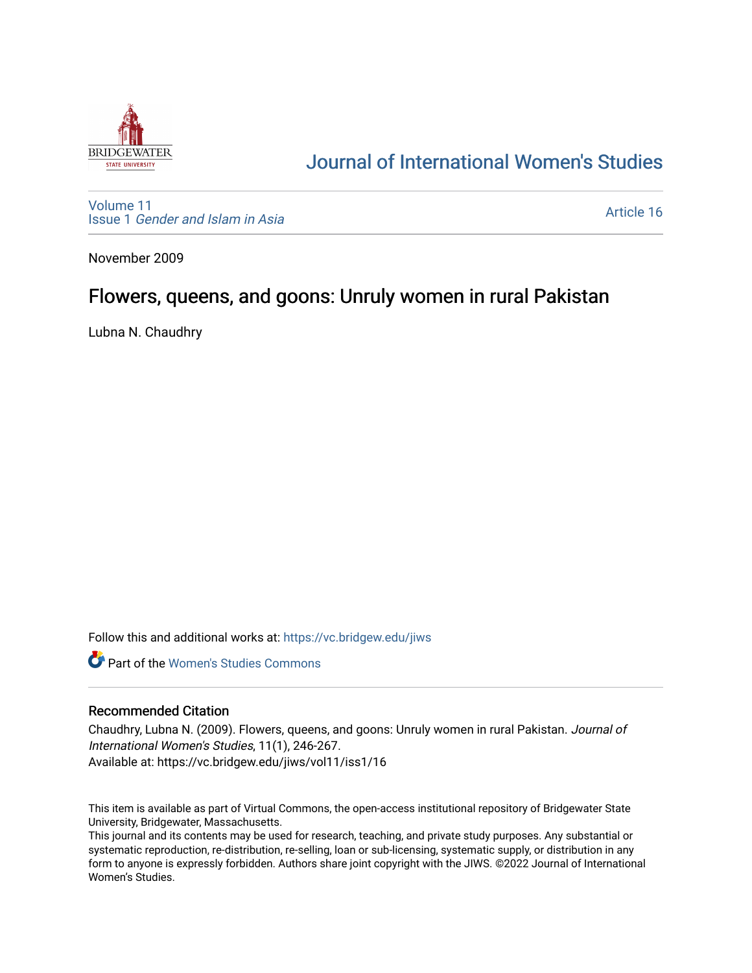

# [Journal of International Women's Studies](https://vc.bridgew.edu/jiws)

[Volume 11](https://vc.bridgew.edu/jiws/vol11) Issue 1 [Gender and Islam in Asia](https://vc.bridgew.edu/jiws/vol11/iss1)

[Article 16](https://vc.bridgew.edu/jiws/vol11/iss1/16) 

November 2009

# Flowers, queens, and goons: Unruly women in rural Pakistan

Lubna N. Chaudhry

Follow this and additional works at: [https://vc.bridgew.edu/jiws](https://vc.bridgew.edu/jiws?utm_source=vc.bridgew.edu%2Fjiws%2Fvol11%2Fiss1%2F16&utm_medium=PDF&utm_campaign=PDFCoverPages)

**C** Part of the Women's Studies Commons

#### Recommended Citation

Chaudhry, Lubna N. (2009). Flowers, queens, and goons: Unruly women in rural Pakistan. Journal of International Women's Studies, 11(1), 246-267. Available at: https://vc.bridgew.edu/jiws/vol11/iss1/16

This item is available as part of Virtual Commons, the open-access institutional repository of Bridgewater State University, Bridgewater, Massachusetts.

This journal and its contents may be used for research, teaching, and private study purposes. Any substantial or systematic reproduction, re-distribution, re-selling, loan or sub-licensing, systematic supply, or distribution in any form to anyone is expressly forbidden. Authors share joint copyright with the JIWS. ©2022 Journal of International Women's Studies.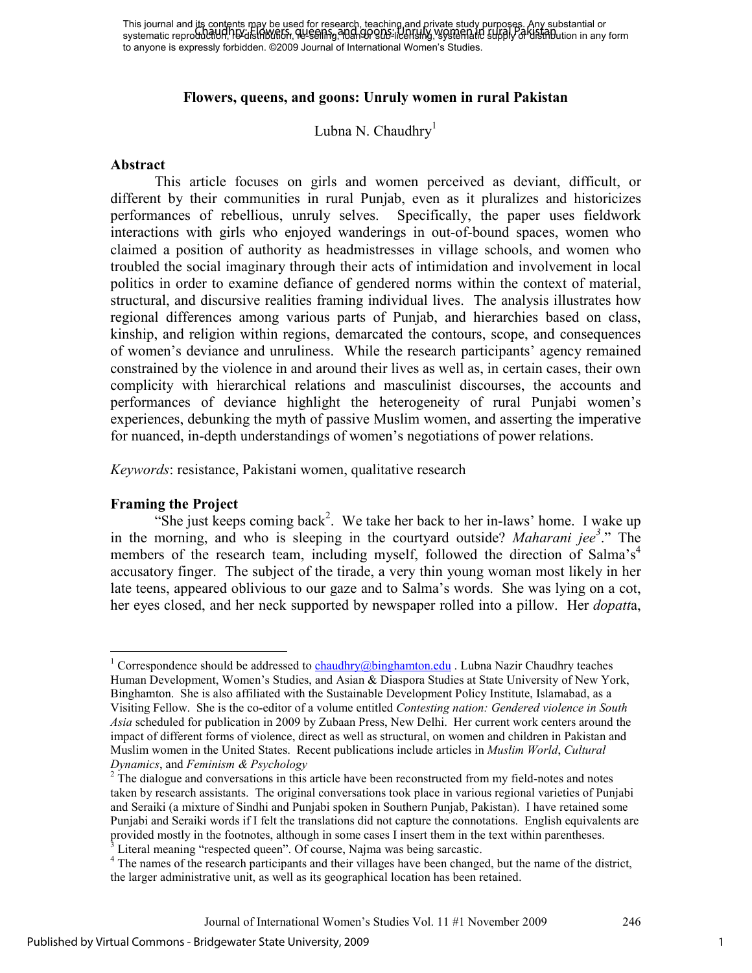#### **Flowers, queens, and goons: Unruly women in rural Pakistan**

#### Lubna N. Chaudhry<sup>1</sup>

#### **Abstract**

This article focuses on girls and women perceived as deviant, difficult, or different by their communities in rural Punjab, even as it pluralizes and historicizes performances of rebellious, unruly selves. Specifically, the paper uses fieldwork interactions with girls who enjoyed wanderings in out-of-bound spaces, women who claimed a position of authority as headmistresses in village schools, and women who troubled the social imaginary through their acts of intimidation and involvement in local politics in order to examine defiance of gendered norms within the context of material, structural, and discursive realities framing individual lives. The analysis illustrates how regional differences among various parts of Punjab, and hierarchies based on class, kinship, and religion within regions, demarcated the contours, scope, and consequences of women's deviance and unruliness. While the research participants' agency remained constrained by the violence in and around their lives as well as, in certain cases, their own complicity with hierarchical relations and masculinist discourses, the accounts and performances of deviance highlight the heterogeneity of rural Punjabi women's experiences, debunking the myth of passive Muslim women, and asserting the imperative for nuanced, in-depth understandings of women's negotiations of power relations.

*Keywords*: resistance, Pakistani women, qualitative research

#### **Framing the Project**

"She just keeps coming back<sup>2</sup>. We take her back to her in-laws' home. I wake up in the morning, and who is sleeping in the courtyard outside? *Maharani jee<sup>3</sup>* ." The members of the research team, including myself, followed the direction of Salma's<sup>4</sup> accusatory finger. The subject of the tirade, a very thin young woman most likely in her late teens, appeared oblivious to our gaze and to Salma's words. She was lying on a cot, her eyes closed, and her neck supported by newspaper rolled into a pillow. Her *dopatt*a,

<sup>-</sup><sup>1</sup> Correspondence should be addressed to  $\frac{chaudhry@binghamton.edu}{chundhry@binghamton.edu}$ . Lubna Nazir Chaudhry teaches Human Development, Women's Studies, and Asian & Diaspora Studies at State University of New York, Binghamton. She is also affiliated with the Sustainable Development Policy Institute, Islamabad, as a Visiting Fellow. She is the co-editor of a volume entitled *Contesting nation: Gendered violence in South Asia* scheduled for publication in 2009 by Zubaan Press, New Delhi. Her current work centers around the impact of different forms of violence, direct as well as structural, on women and children in Pakistan and Muslim women in the United States. Recent publications include articles in *Muslim World*, *Cultural Dynamics*, and *Feminism & Psychology*

<sup>&</sup>lt;sup>2</sup> The dialogue and conversations in this article have been reconstructed from my field-notes and notes taken by research assistants. The original conversations took place in various regional varieties of Punjabi and Seraiki (a mixture of Sindhi and Punjabi spoken in Southern Punjab, Pakistan). I have retained some Punjabi and Seraiki words if I felt the translations did not capture the connotations. English equivalents are provided mostly in the footnotes, although in some cases I insert them in the text within parentheses. 3 Literal meaning "respected queen". Of course, Najma was being sarcastic.

<sup>&</sup>lt;sup>4</sup> The names of the research participants and their villages have been changed, but the name of the district, the larger administrative unit, as well as its geographical location has been retained.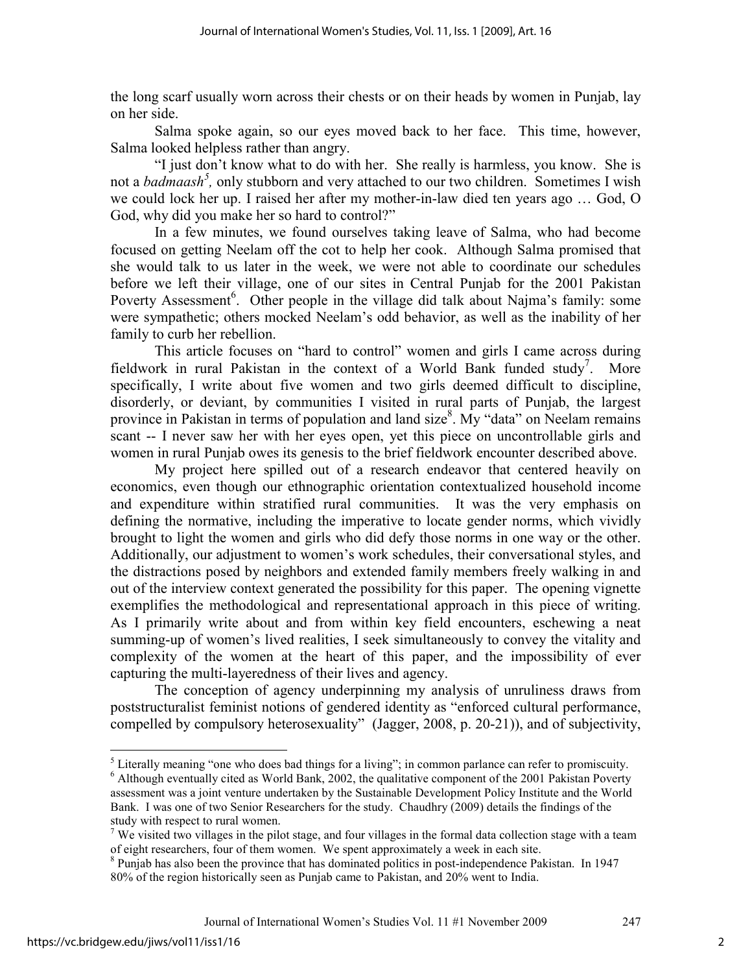the long scarf usually worn across their chests or on their heads by women in Punjab, lay on her side.

 Salma spoke again, so our eyes moved back to her face. This time, however, Salma looked helpless rather than angry.

"I just don't know what to do with her. She really is harmless, you know. She is not a *badmaash<sup>5</sup> ,* only stubborn and very attached to our two children. Sometimes I wish we could lock her up. I raised her after my mother-in-law died ten years ago … God, O God, why did you make her so hard to control?"

In a few minutes, we found ourselves taking leave of Salma, who had become focused on getting Neelam off the cot to help her cook. Although Salma promised that she would talk to us later in the week, we were not able to coordinate our schedules before we left their village, one of our sites in Central Punjab for the 2001 Pakistan Poverty Assessment<sup>6</sup>. Other people in the village did talk about Najma's family: some were sympathetic; others mocked Neelam's odd behavior, as well as the inability of her family to curb her rebellion.

This article focuses on "hard to control" women and girls I came across during fieldwork in rural Pakistan in the context of a World Bank funded study<sup>7</sup>. More specifically, I write about five women and two girls deemed difficult to discipline, disorderly, or deviant, by communities I visited in rural parts of Punjab, the largest province in Pakistan in terms of population and land size $8$ . My "data" on Neelam remains scant -- I never saw her with her eyes open, yet this piece on uncontrollable girls and women in rural Punjab owes its genesis to the brief fieldwork encounter described above.

My project here spilled out of a research endeavor that centered heavily on economics, even though our ethnographic orientation contextualized household income and expenditure within stratified rural communities. It was the very emphasis on defining the normative, including the imperative to locate gender norms, which vividly brought to light the women and girls who did defy those norms in one way or the other. Additionally, our adjustment to women's work schedules, their conversational styles, and the distractions posed by neighbors and extended family members freely walking in and out of the interview context generated the possibility for this paper. The opening vignette exemplifies the methodological and representational approach in this piece of writing. As I primarily write about and from within key field encounters, eschewing a neat summing-up of women's lived realities, I seek simultaneously to convey the vitality and complexity of the women at the heart of this paper, and the impossibility of ever capturing the multi-layeredness of their lives and agency.

The conception of agency underpinning my analysis of unruliness draws from poststructuralist feminist notions of gendered identity as "enforced cultural performance, compelled by compulsory heterosexuality" (Jagger, 2008, p. 20-21)), and of subjectivity,

<sup>5</sup> Literally meaning "one who does bad things for a living"; in common parlance can refer to promiscuity. <sup>6</sup> Although eventually cited as World Bank, 2002, the qualitative component of the 2001 Pakistan Poverty

assessment was a joint venture undertaken by the Sustainable Development Policy Institute and the World Bank. I was one of two Senior Researchers for the study. Chaudhry (2009) details the findings of the study with respect to rural women.

<sup>&</sup>lt;sup>7</sup> We visited two villages in the pilot stage, and four villages in the formal data collection stage with a team of eight researchers, four of them women. We spent approximately a week in each site.

<sup>&</sup>lt;sup>8</sup> Punjab has also been the province that has dominated politics in post-independence Pakistan. In 1947 80% of the region historically seen as Punjab came to Pakistan, and 20% went to India.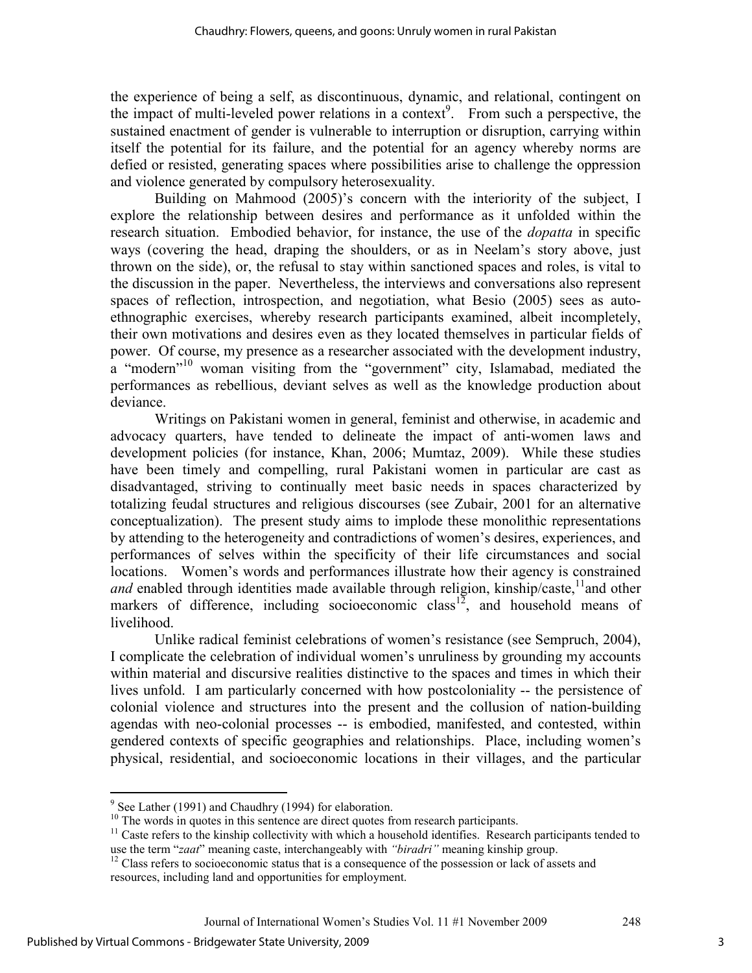the experience of being a self, as discontinuous, dynamic, and relational, contingent on the impact of multi-leveled power relations in a context<sup>9</sup>. From such a perspective, the sustained enactment of gender is vulnerable to interruption or disruption, carrying within itself the potential for its failure, and the potential for an agency whereby norms are defied or resisted, generating spaces where possibilities arise to challenge the oppression and violence generated by compulsory heterosexuality.

Building on Mahmood (2005)'s concern with the interiority of the subject, I explore the relationship between desires and performance as it unfolded within the research situation. Embodied behavior, for instance, the use of the *dopatta* in specific ways (covering the head, draping the shoulders, or as in Neelam's story above, just thrown on the side), or, the refusal to stay within sanctioned spaces and roles, is vital to the discussion in the paper. Nevertheless, the interviews and conversations also represent spaces of reflection, introspection, and negotiation, what Besio (2005) sees as autoethnographic exercises, whereby research participants examined, albeit incompletely, their own motivations and desires even as they located themselves in particular fields of power. Of course, my presence as a researcher associated with the development industry, a "modern"<sup>10</sup> woman visiting from the "government" city, Islamabad, mediated the performances as rebellious, deviant selves as well as the knowledge production about deviance.

Writings on Pakistani women in general, feminist and otherwise, in academic and advocacy quarters, have tended to delineate the impact of anti-women laws and development policies (for instance, Khan, 2006; Mumtaz, 2009). While these studies have been timely and compelling, rural Pakistani women in particular are cast as disadvantaged, striving to continually meet basic needs in spaces characterized by totalizing feudal structures and religious discourses (see Zubair, 2001 for an alternative conceptualization). The present study aims to implode these monolithic representations by attending to the heterogeneity and contradictions of women's desires, experiences, and performances of selves within the specificity of their life circumstances and social locations. Women's words and performances illustrate how their agency is constrained *and* enabled through identities made available through religion, kinship/caste,  $\frac{11}{1}$  and other markers of difference, including socioeconomic class<sup>12</sup>, and household means of livelihood.

Unlike radical feminist celebrations of women's resistance (see Sempruch, 2004), I complicate the celebration of individual women's unruliness by grounding my accounts within material and discursive realities distinctive to the spaces and times in which their lives unfold. I am particularly concerned with how postcoloniality -- the persistence of colonial violence and structures into the present and the collusion of nation-building agendas with neo-colonial processes -- is embodied, manifested, and contested, within gendered contexts of specific geographies and relationships. Place, including women's physical, residential, and socioeconomic locations in their villages, and the particular

<sup>&</sup>lt;sup>9</sup> See Lather (1991) and Chaudhry (1994) for elaboration.

<sup>&</sup>lt;sup>10</sup> The words in quotes in this sentence are direct quotes from research participants.

 $<sup>11</sup>$  Caste refers to the kinship collectivity with which a household identifies. Research participants tended to</sup> use the term "*zaat*" meaning caste, interchangeably with *"biradri"* meaning kinship group.

 $12$  Class refers to socioeconomic status that is a consequence of the possession or lack of assets and resources, including land and opportunities for employment.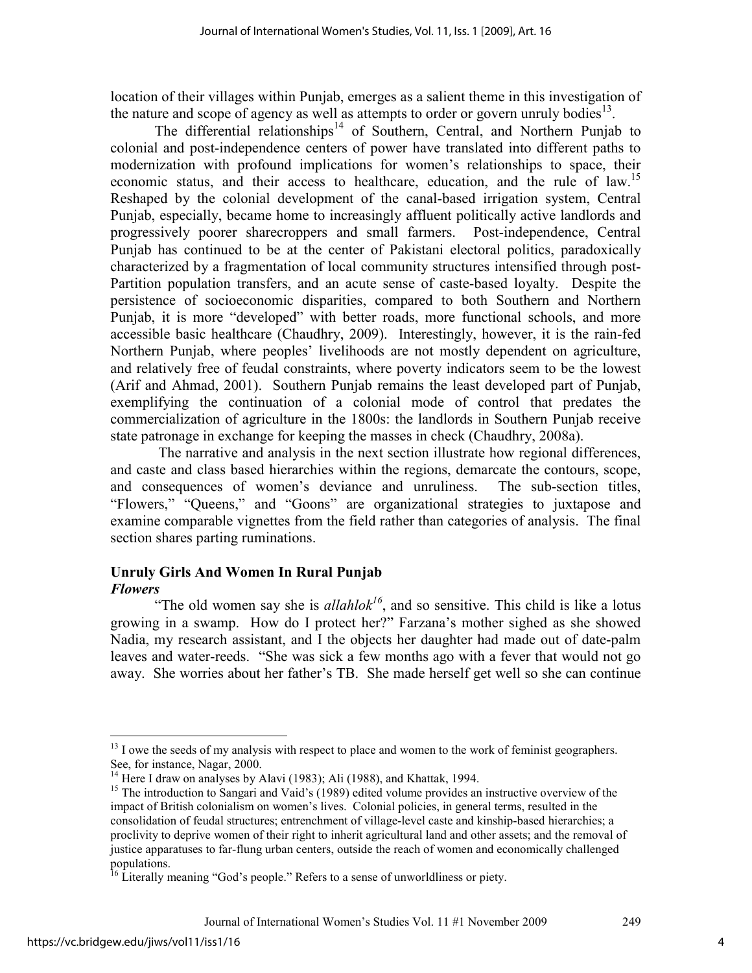location of their villages within Punjab, emerges as a salient theme in this investigation of the nature and scope of agency as well as attempts to order or govern unruly bodies $^{13}$ .

The differential relationships<sup>14</sup> of Southern, Central, and Northern Punjab to colonial and post-independence centers of power have translated into different paths to modernization with profound implications for women's relationships to space, their economic status, and their access to healthcare, education, and the rule of law.<sup>15</sup> Reshaped by the colonial development of the canal-based irrigation system, Central Punjab, especially, became home to increasingly affluent politically active landlords and progressively poorer sharecroppers and small farmers. Post-independence, Central Punjab has continued to be at the center of Pakistani electoral politics, paradoxically characterized by a fragmentation of local community structures intensified through post-Partition population transfers, and an acute sense of caste-based loyalty. Despite the persistence of socioeconomic disparities, compared to both Southern and Northern Punjab, it is more "developed" with better roads, more functional schools, and more accessible basic healthcare (Chaudhry, 2009). Interestingly, however, it is the rain-fed Northern Punjab, where peoples' livelihoods are not mostly dependent on agriculture, and relatively free of feudal constraints, where poverty indicators seem to be the lowest (Arif and Ahmad, 2001). Southern Punjab remains the least developed part of Punjab, exemplifying the continuation of a colonial mode of control that predates the commercialization of agriculture in the 1800s: the landlords in Southern Punjab receive state patronage in exchange for keeping the masses in check (Chaudhry, 2008a).

 The narrative and analysis in the next section illustrate how regional differences, and caste and class based hierarchies within the regions, demarcate the contours, scope, and consequences of women's deviance and unruliness. The sub-section titles, "Flowers," "Queens," and "Goons" are organizational strategies to juxtapose and examine comparable vignettes from the field rather than categories of analysis. The final section shares parting ruminations.

# **Unruly Girls And Women In Rural Punjab**  *Flowers*

"The old women say she is  $\alpha$ *llahlok*<sup>16</sup>, and so sensitive. This child is like a lotus growing in a swamp. How do I protect her?" Farzana's mother sighed as she showed Nadia, my research assistant, and I the objects her daughter had made out of date-palm leaves and water-reeds. "She was sick a few months ago with a fever that would not go away. She worries about her father's TB. She made herself get well so she can continue

-

<sup>&</sup>lt;sup>13</sup> I owe the seeds of my analysis with respect to place and women to the work of feminist geographers. See, for instance, Nagar, 2000.

<sup>&</sup>lt;sup>14</sup> Here I draw on analyses by Alavi (1983); Ali (1988), and Khattak, 1994.

<sup>&</sup>lt;sup>15</sup> The introduction to Sangari and Vaid's (1989) edited volume provides an instructive overview of the impact of British colonialism on women's lives. Colonial policies, in general terms, resulted in the consolidation of feudal structures; entrenchment of village-level caste and kinship-based hierarchies; a proclivity to deprive women of their right to inherit agricultural land and other assets; and the removal of justice apparatuses to far-flung urban centers, outside the reach of women and economically challenged populations.

 $16$  Literally meaning "God's people." Refers to a sense of unworldliness or piety.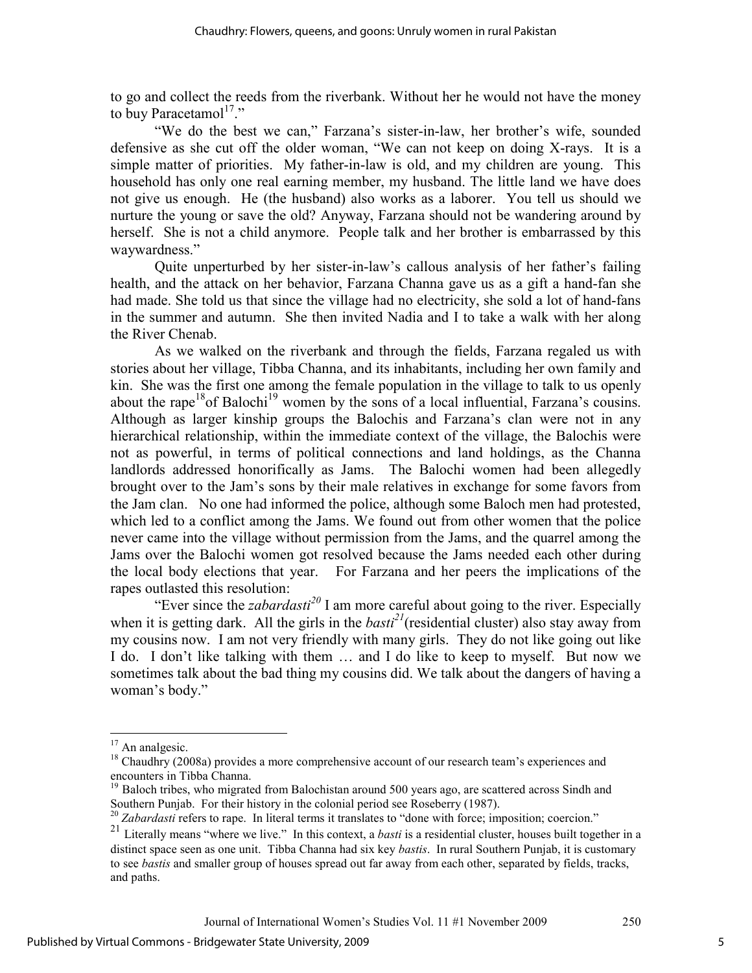to go and collect the reeds from the riverbank. Without her he would not have the money to buy Paracetamol $^{17}$ ."

 "We do the best we can," Farzana's sister-in-law, her brother's wife, sounded defensive as she cut off the older woman, "We can not keep on doing X-rays. It is a simple matter of priorities. My father-in-law is old, and my children are young. This household has only one real earning member, my husband. The little land we have does not give us enough. He (the husband) also works as a laborer. You tell us should we nurture the young or save the old? Anyway, Farzana should not be wandering around by herself. She is not a child anymore. People talk and her brother is embarrassed by this waywardness."

 Quite unperturbed by her sister-in-law's callous analysis of her father's failing health, and the attack on her behavior, Farzana Channa gave us as a gift a hand-fan she had made. She told us that since the village had no electricity, she sold a lot of hand-fans in the summer and autumn. She then invited Nadia and I to take a walk with her along the River Chenab.

As we walked on the riverbank and through the fields, Farzana regaled us with stories about her village, Tibba Channa, and its inhabitants, including her own family and kin. She was the first one among the female population in the village to talk to us openly about the rape<sup>18</sup> of Balochi<sup>19</sup> women by the sons of a local influential, Farzana's cousins. Although as larger kinship groups the Balochis and Farzana's clan were not in any hierarchical relationship, within the immediate context of the village, the Balochis were not as powerful, in terms of political connections and land holdings, as the Channa landlords addressed honorifically as Jams. The Balochi women had been allegedly brought over to the Jam's sons by their male relatives in exchange for some favors from the Jam clan. No one had informed the police, although some Baloch men had protested, which led to a conflict among the Jams. We found out from other women that the police never came into the village without permission from the Jams, and the quarrel among the Jams over the Balochi women got resolved because the Jams needed each other during the local body elections that year. For Farzana and her peers the implications of the rapes outlasted this resolution:

"Ever since the *zabardasti<sup>20</sup>* I am more careful about going to the river. Especially when it is getting dark. All the girls in the *basti<sup>21</sup>*(residential cluster) also stay away from my cousins now. I am not very friendly with many girls. They do not like going out like I do. I don't like talking with them … and I do like to keep to myself. But now we sometimes talk about the bad thing my cousins did. We talk about the dangers of having a woman's body."

<u>.</u>

 $17$  An analgesic.

<sup>&</sup>lt;sup>18</sup> Chaudhry (2008a) provides a more comprehensive account of our research team's experiences and encounters in Tibba Channa.

<sup>&</sup>lt;sup>19</sup> Baloch tribes, who migrated from Balochistan around 500 years ago, are scattered across Sindh and Southern Punjab. For their history in the colonial period see Roseberry (1987).

<sup>&</sup>lt;sup>20</sup> Zabardasti refers to rape. In literal terms it translates to "done with force; imposition; coercion."

<sup>21</sup> Literally means "where we live." In this context, a *basti* is a residential cluster, houses built together in a distinct space seen as one unit. Tibba Channa had six key *bastis*. In rural Southern Punjab, it is customary to see *bastis* and smaller group of houses spread out far away from each other, separated by fields, tracks, and paths.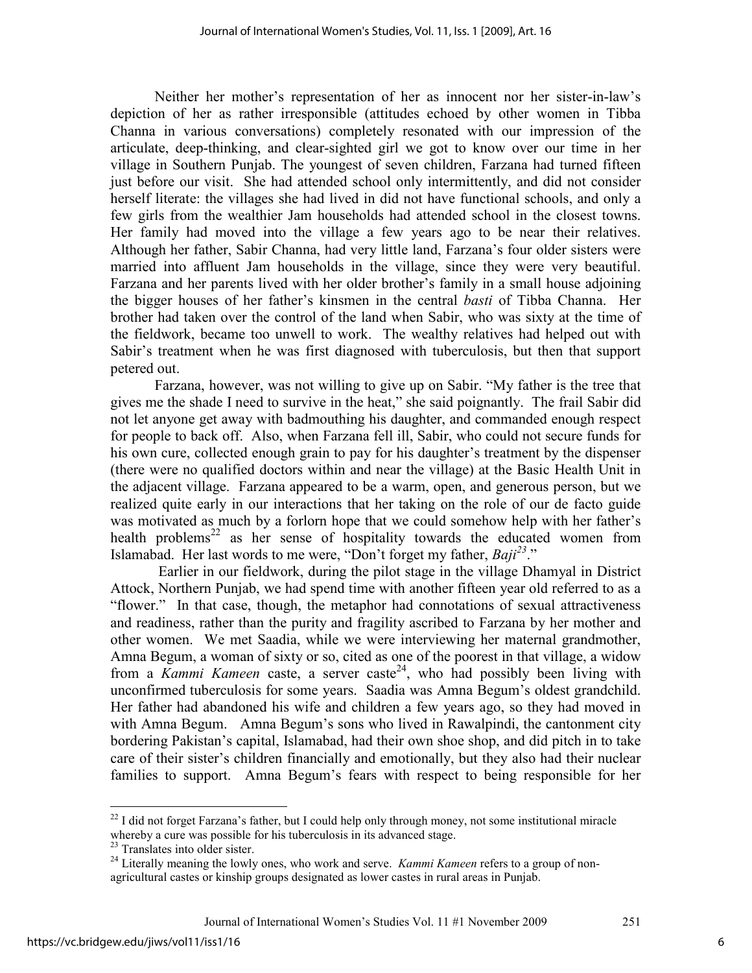Neither her mother's representation of her as innocent nor her sister-in-law's depiction of her as rather irresponsible (attitudes echoed by other women in Tibba Channa in various conversations) completely resonated with our impression of the articulate, deep-thinking, and clear-sighted girl we got to know over our time in her village in Southern Punjab. The youngest of seven children, Farzana had turned fifteen just before our visit. She had attended school only intermittently, and did not consider herself literate: the villages she had lived in did not have functional schools, and only a few girls from the wealthier Jam households had attended school in the closest towns. Her family had moved into the village a few years ago to be near their relatives. Although her father, Sabir Channa, had very little land, Farzana's four older sisters were married into affluent Jam households in the village, since they were very beautiful. Farzana and her parents lived with her older brother's family in a small house adjoining the bigger houses of her father's kinsmen in the central *basti* of Tibba Channa. Her brother had taken over the control of the land when Sabir, who was sixty at the time of the fieldwork, became too unwell to work. The wealthy relatives had helped out with Sabir's treatment when he was first diagnosed with tuberculosis, but then that support petered out.

Farzana, however, was not willing to give up on Sabir. "My father is the tree that gives me the shade I need to survive in the heat," she said poignantly. The frail Sabir did not let anyone get away with badmouthing his daughter, and commanded enough respect for people to back off. Also, when Farzana fell ill, Sabir, who could not secure funds for his own cure, collected enough grain to pay for his daughter's treatment by the dispenser (there were no qualified doctors within and near the village) at the Basic Health Unit in the adjacent village. Farzana appeared to be a warm, open, and generous person, but we realized quite early in our interactions that her taking on the role of our de facto guide was motivated as much by a forlorn hope that we could somehow help with her father's health problems<sup>22</sup> as her sense of hospitality towards the educated women from Islamabad. Her last words to me were, "Don't forget my father, *Baji<sup>23</sup>*."

 Earlier in our fieldwork, during the pilot stage in the village Dhamyal in District Attock, Northern Punjab, we had spend time with another fifteen year old referred to as a "flower." In that case, though, the metaphor had connotations of sexual attractiveness and readiness, rather than the purity and fragility ascribed to Farzana by her mother and other women. We met Saadia, while we were interviewing her maternal grandmother, Amna Begum, a woman of sixty or so, cited as one of the poorest in that village, a widow from a *Kammi Kameen* caste, a server caste<sup>24</sup>, who had possibly been living with unconfirmed tuberculosis for some years. Saadia was Amna Begum's oldest grandchild. Her father had abandoned his wife and children a few years ago, so they had moved in with Amna Begum. Amna Begum's sons who lived in Rawalpindi, the cantonment city bordering Pakistan's capital, Islamabad, had their own shoe shop, and did pitch in to take care of their sister's children financially and emotionally, but they also had their nuclear families to support. Amna Begum's fears with respect to being responsible for her

 $\overline{a}$ 

 $22$  I did not forget Farzana's father, but I could help only through money, not some institutional miracle whereby a cure was possible for his tuberculosis in its advanced stage.

<sup>&</sup>lt;sup>23</sup> Translates into older sister.

<sup>24</sup> Literally meaning the lowly ones, who work and serve. *Kammi Kameen* refers to a group of nonagricultural castes or kinship groups designated as lower castes in rural areas in Punjab.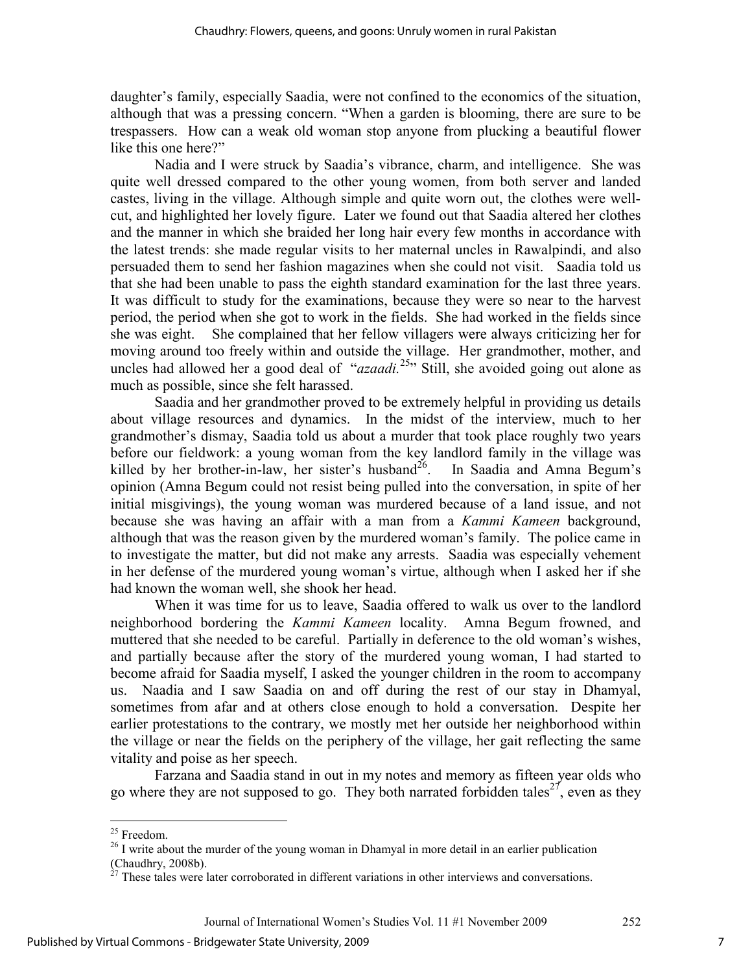daughter's family, especially Saadia, were not confined to the economics of the situation, although that was a pressing concern. "When a garden is blooming, there are sure to be trespassers. How can a weak old woman stop anyone from plucking a beautiful flower like this one here?"

Nadia and I were struck by Saadia's vibrance, charm, and intelligence. She was quite well dressed compared to the other young women, from both server and landed castes, living in the village. Although simple and quite worn out, the clothes were wellcut, and highlighted her lovely figure. Later we found out that Saadia altered her clothes and the manner in which she braided her long hair every few months in accordance with the latest trends: she made regular visits to her maternal uncles in Rawalpindi, and also persuaded them to send her fashion magazines when she could not visit. Saadia told us that she had been unable to pass the eighth standard examination for the last three years. It was difficult to study for the examinations, because they were so near to the harvest period, the period when she got to work in the fields. She had worked in the fields since she was eight. She complained that her fellow villagers were always criticizing her for moving around too freely within and outside the village. Her grandmother, mother, and uncles had allowed her a good deal of "*azaadi*.<sup>25</sup>" Still, she avoided going out alone as much as possible, since she felt harassed.

Saadia and her grandmother proved to be extremely helpful in providing us details about village resources and dynamics. In the midst of the interview, much to her grandmother's dismay, Saadia told us about a murder that took place roughly two years before our fieldwork: a young woman from the key landlord family in the village was killed by her brother-in-law, her sister's husband<sup>26</sup>. In Saadia and Amna Begum's opinion (Amna Begum could not resist being pulled into the conversation, in spite of her initial misgivings), the young woman was murdered because of a land issue, and not because she was having an affair with a man from a *Kammi Kameen* background, although that was the reason given by the murdered woman's family. The police came in to investigate the matter, but did not make any arrests. Saadia was especially vehement in her defense of the murdered young woman's virtue, although when I asked her if she had known the woman well, she shook her head.

When it was time for us to leave, Saadia offered to walk us over to the landlord neighborhood bordering the *Kammi Kameen* locality. Amna Begum frowned, and muttered that she needed to be careful. Partially in deference to the old woman's wishes, and partially because after the story of the murdered young woman, I had started to become afraid for Saadia myself, I asked the younger children in the room to accompany us. Naadia and I saw Saadia on and off during the rest of our stay in Dhamyal, sometimes from afar and at others close enough to hold a conversation. Despite her earlier protestations to the contrary, we mostly met her outside her neighborhood within the village or near the fields on the periphery of the village, her gait reflecting the same vitality and poise as her speech.

Farzana and Saadia stand in out in my notes and memory as fifteen year olds who go where they are not supposed to go. They both narrated forbidden tales<sup>27</sup>, even as they

 $\overline{a}$ 

7

<sup>&</sup>lt;sup>25</sup> Freedom.

<sup>&</sup>lt;sup>26</sup> I write about the murder of the young woman in Dhamyal in more detail in an earlier publication (Chaudhry, 2008b).

 $27$  These tales were later corroborated in different variations in other interviews and conversations.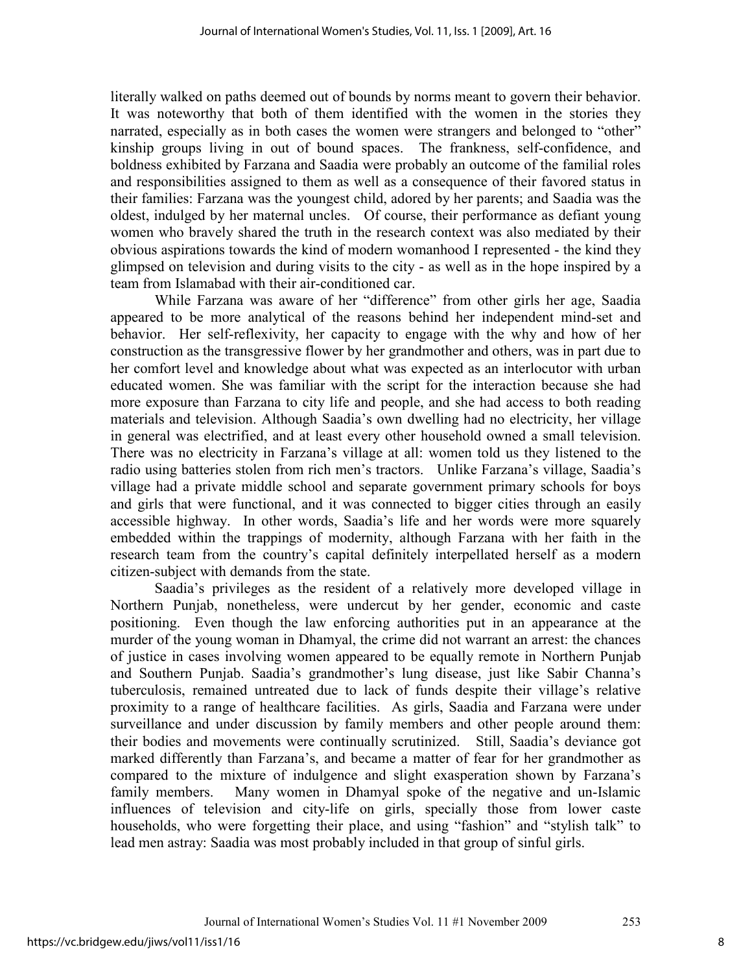literally walked on paths deemed out of bounds by norms meant to govern their behavior. It was noteworthy that both of them identified with the women in the stories they narrated, especially as in both cases the women were strangers and belonged to "other" kinship groups living in out of bound spaces. The frankness, self-confidence, and boldness exhibited by Farzana and Saadia were probably an outcome of the familial roles and responsibilities assigned to them as well as a consequence of their favored status in their families: Farzana was the youngest child, adored by her parents; and Saadia was the oldest, indulged by her maternal uncles. Of course, their performance as defiant young women who bravely shared the truth in the research context was also mediated by their obvious aspirations towards the kind of modern womanhood I represented - the kind they glimpsed on television and during visits to the city - as well as in the hope inspired by a team from Islamabad with their air-conditioned car.

While Farzana was aware of her "difference" from other girls her age, Saadia appeared to be more analytical of the reasons behind her independent mind-set and behavior. Her self-reflexivity, her capacity to engage with the why and how of her construction as the transgressive flower by her grandmother and others, was in part due to her comfort level and knowledge about what was expected as an interlocutor with urban educated women. She was familiar with the script for the interaction because she had more exposure than Farzana to city life and people, and she had access to both reading materials and television. Although Saadia's own dwelling had no electricity, her village in general was electrified, and at least every other household owned a small television. There was no electricity in Farzana's village at all: women told us they listened to the radio using batteries stolen from rich men's tractors. Unlike Farzana's village, Saadia's village had a private middle school and separate government primary schools for boys and girls that were functional, and it was connected to bigger cities through an easily accessible highway. In other words, Saadia's life and her words were more squarely embedded within the trappings of modernity, although Farzana with her faith in the research team from the country's capital definitely interpellated herself as a modern citizen-subject with demands from the state.

Saadia's privileges as the resident of a relatively more developed village in Northern Punjab, nonetheless, were undercut by her gender, economic and caste positioning. Even though the law enforcing authorities put in an appearance at the murder of the young woman in Dhamyal, the crime did not warrant an arrest: the chances of justice in cases involving women appeared to be equally remote in Northern Punjab and Southern Punjab. Saadia's grandmother's lung disease, just like Sabir Channa's tuberculosis, remained untreated due to lack of funds despite their village's relative proximity to a range of healthcare facilities. As girls, Saadia and Farzana were under surveillance and under discussion by family members and other people around them: their bodies and movements were continually scrutinized. Still, Saadia's deviance got marked differently than Farzana's, and became a matter of fear for her grandmother as compared to the mixture of indulgence and slight exasperation shown by Farzana's family members. Many women in Dhamyal spoke of the negative and un-Islamic influences of television and city-life on girls, specially those from lower caste households, who were forgetting their place, and using "fashion" and "stylish talk" to lead men astray: Saadia was most probably included in that group of sinful girls.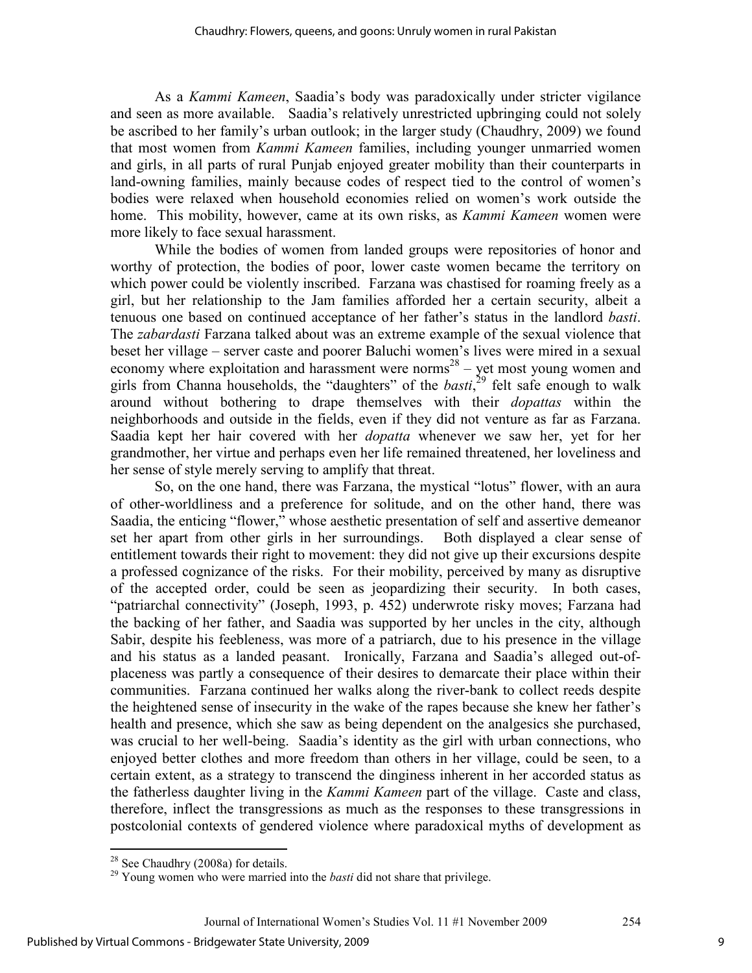As a *Kammi Kameen*, Saadia's body was paradoxically under stricter vigilance and seen as more available. Saadia's relatively unrestricted upbringing could not solely be ascribed to her family's urban outlook; in the larger study (Chaudhry, 2009) we found that most women from *Kammi Kameen* families, including younger unmarried women and girls, in all parts of rural Punjab enjoyed greater mobility than their counterparts in land-owning families, mainly because codes of respect tied to the control of women's bodies were relaxed when household economies relied on women's work outside the home. This mobility, however, came at its own risks, as *Kammi Kameen* women were more likely to face sexual harassment.

While the bodies of women from landed groups were repositories of honor and worthy of protection, the bodies of poor, lower caste women became the territory on which power could be violently inscribed. Farzana was chastised for roaming freely as a girl, but her relationship to the Jam families afforded her a certain security, albeit a tenuous one based on continued acceptance of her father's status in the landlord *basti*. The *zabardasti* Farzana talked about was an extreme example of the sexual violence that beset her village – server caste and poorer Baluchi women's lives were mired in a sexual economy where exploitation and harassment were norms<sup>28</sup> – yet most young women and girls from Channa households, the "daughters" of the *basti*, <sup>29</sup> felt safe enough to walk around without bothering to drape themselves with their *dopattas* within the neighborhoods and outside in the fields, even if they did not venture as far as Farzana. Saadia kept her hair covered with her *dopatta* whenever we saw her, yet for her grandmother, her virtue and perhaps even her life remained threatened, her loveliness and her sense of style merely serving to amplify that threat.

So, on the one hand, there was Farzana, the mystical "lotus" flower, with an aura of other-worldliness and a preference for solitude, and on the other hand, there was Saadia, the enticing "flower," whose aesthetic presentation of self and assertive demeanor set her apart from other girls in her surroundings. Both displayed a clear sense of entitlement towards their right to movement: they did not give up their excursions despite a professed cognizance of the risks. For their mobility, perceived by many as disruptive of the accepted order, could be seen as jeopardizing their security. In both cases, "patriarchal connectivity" (Joseph, 1993, p. 452) underwrote risky moves; Farzana had the backing of her father, and Saadia was supported by her uncles in the city, although Sabir, despite his feebleness, was more of a patriarch, due to his presence in the village and his status as a landed peasant. Ironically, Farzana and Saadia's alleged out-ofplaceness was partly a consequence of their desires to demarcate their place within their communities. Farzana continued her walks along the river-bank to collect reeds despite the heightened sense of insecurity in the wake of the rapes because she knew her father's health and presence, which she saw as being dependent on the analgesics she purchased, was crucial to her well-being. Saadia's identity as the girl with urban connections, who enjoyed better clothes and more freedom than others in her village, could be seen, to a certain extent, as a strategy to transcend the dinginess inherent in her accorded status as the fatherless daughter living in the *Kammi Kameen* part of the village. Caste and class, therefore, inflect the transgressions as much as the responses to these transgressions in postcolonial contexts of gendered violence where paradoxical myths of development as

<sup>-</sup> $2<sup>28</sup>$  See Chaudhry (2008a) for details.

<sup>&</sup>lt;sup>29</sup> Young women who were married into the *basti* did not share that privilege.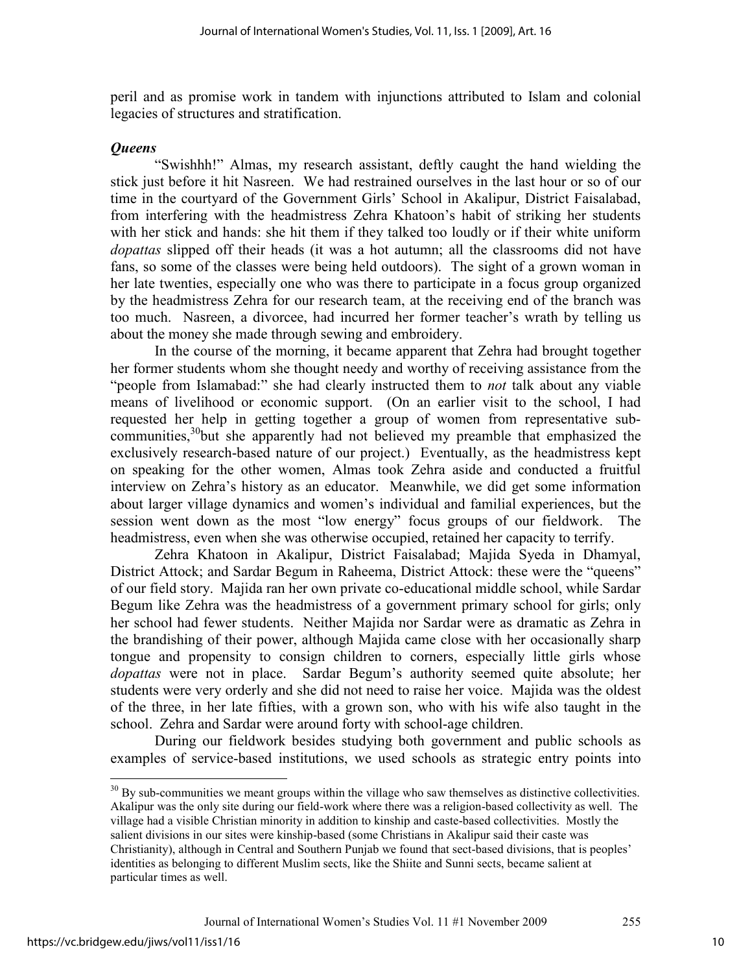peril and as promise work in tandem with injunctions attributed to Islam and colonial legacies of structures and stratification.

#### *Queens*

"Swishhh!" Almas, my research assistant, deftly caught the hand wielding the stick just before it hit Nasreen. We had restrained ourselves in the last hour or so of our time in the courtyard of the Government Girls' School in Akalipur, District Faisalabad, from interfering with the headmistress Zehra Khatoon's habit of striking her students with her stick and hands: she hit them if they talked too loudly or if their white uniform *dopattas* slipped off their heads (it was a hot autumn; all the classrooms did not have fans, so some of the classes were being held outdoors). The sight of a grown woman in her late twenties, especially one who was there to participate in a focus group organized by the headmistress Zehra for our research team, at the receiving end of the branch was too much. Nasreen, a divorcee, had incurred her former teacher's wrath by telling us about the money she made through sewing and embroidery.

In the course of the morning, it became apparent that Zehra had brought together her former students whom she thought needy and worthy of receiving assistance from the "people from Islamabad:" she had clearly instructed them to *not* talk about any viable means of livelihood or economic support. (On an earlier visit to the school, I had requested her help in getting together a group of women from representative subcommunities,<sup>30</sup>but she apparently had not believed my preamble that emphasized the exclusively research-based nature of our project.) Eventually, as the headmistress kept on speaking for the other women, Almas took Zehra aside and conducted a fruitful interview on Zehra's history as an educator. Meanwhile, we did get some information about larger village dynamics and women's individual and familial experiences, but the session went down as the most "low energy" focus groups of our fieldwork. The headmistress, even when she was otherwise occupied, retained her capacity to terrify.

 Zehra Khatoon in Akalipur, District Faisalabad; Majida Syeda in Dhamyal, District Attock; and Sardar Begum in Raheema, District Attock: these were the "queens" of our field story. Majida ran her own private co-educational middle school, while Sardar Begum like Zehra was the headmistress of a government primary school for girls; only her school had fewer students. Neither Majida nor Sardar were as dramatic as Zehra in the brandishing of their power, although Majida came close with her occasionally sharp tongue and propensity to consign children to corners, especially little girls whose *dopattas* were not in place. Sardar Begum's authority seemed quite absolute; her students were very orderly and she did not need to raise her voice. Majida was the oldest of the three, in her late fifties, with a grown son, who with his wife also taught in the school. Zehra and Sardar were around forty with school-age children.

During our fieldwork besides studying both government and public schools as examples of service-based institutions, we used schools as strategic entry points into

<sup>&</sup>lt;u>.</u>  $30$  By sub-communities we meant groups within the village who saw themselves as distinctive collectivities. Akalipur was the only site during our field-work where there was a religion-based collectivity as well. The village had a visible Christian minority in addition to kinship and caste-based collectivities. Mostly the salient divisions in our sites were kinship-based (some Christians in Akalipur said their caste was Christianity), although in Central and Southern Punjab we found that sect-based divisions, that is peoples' identities as belonging to different Muslim sects, like the Shiite and Sunni sects, became salient at particular times as well.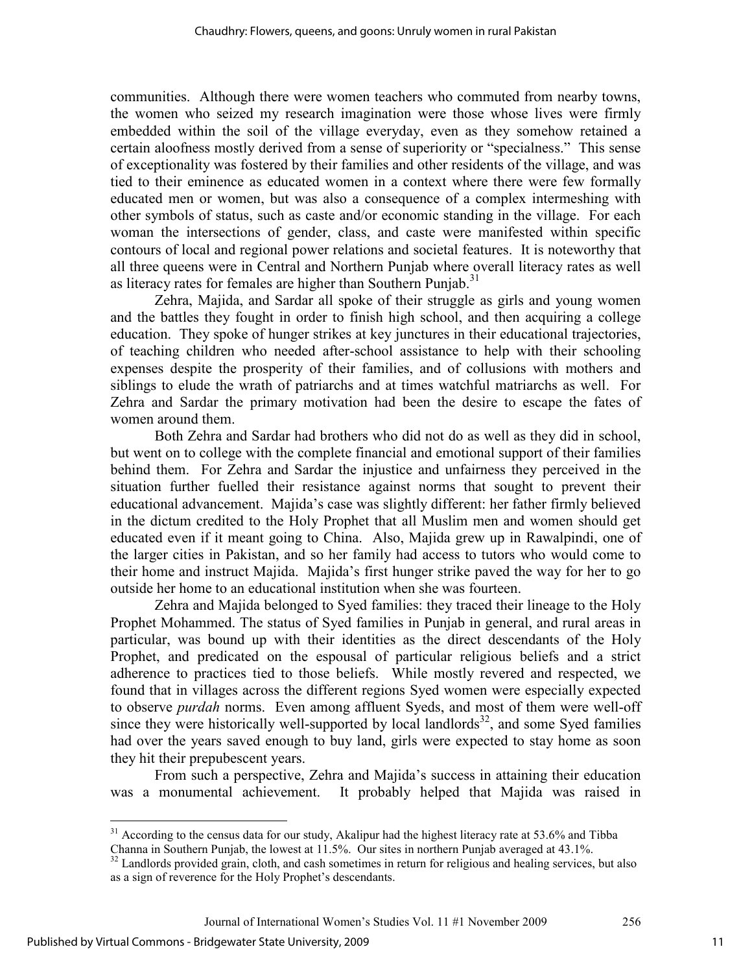communities. Although there were women teachers who commuted from nearby towns, the women who seized my research imagination were those whose lives were firmly embedded within the soil of the village everyday, even as they somehow retained a certain aloofness mostly derived from a sense of superiority or "specialness." This sense of exceptionality was fostered by their families and other residents of the village, and was tied to their eminence as educated women in a context where there were few formally educated men or women, but was also a consequence of a complex intermeshing with other symbols of status, such as caste and/or economic standing in the village. For each woman the intersections of gender, class, and caste were manifested within specific contours of local and regional power relations and societal features. It is noteworthy that all three queens were in Central and Northern Punjab where overall literacy rates as well as literacy rates for females are higher than Southern Punjab.<sup>31</sup>

Zehra, Majida, and Sardar all spoke of their struggle as girls and young women and the battles they fought in order to finish high school, and then acquiring a college education. They spoke of hunger strikes at key junctures in their educational trajectories, of teaching children who needed after-school assistance to help with their schooling expenses despite the prosperity of their families, and of collusions with mothers and siblings to elude the wrath of patriarchs and at times watchful matriarchs as well. For Zehra and Sardar the primary motivation had been the desire to escape the fates of women around them.

Both Zehra and Sardar had brothers who did not do as well as they did in school, but went on to college with the complete financial and emotional support of their families behind them. For Zehra and Sardar the injustice and unfairness they perceived in the situation further fuelled their resistance against norms that sought to prevent their educational advancement. Majida's case was slightly different: her father firmly believed in the dictum credited to the Holy Prophet that all Muslim men and women should get educated even if it meant going to China. Also, Majida grew up in Rawalpindi, one of the larger cities in Pakistan, and so her family had access to tutors who would come to their home and instruct Majida. Majida's first hunger strike paved the way for her to go outside her home to an educational institution when she was fourteen.

 Zehra and Majida belonged to Syed families: they traced their lineage to the Holy Prophet Mohammed. The status of Syed families in Punjab in general, and rural areas in particular, was bound up with their identities as the direct descendants of the Holy Prophet, and predicated on the espousal of particular religious beliefs and a strict adherence to practices tied to those beliefs. While mostly revered and respected, we found that in villages across the different regions Syed women were especially expected to observe *purdah* norms. Even among affluent Syeds, and most of them were well-off since they were historically well-supported by local landlords<sup>32</sup>, and some Syed families had over the years saved enough to buy land, girls were expected to stay home as soon they hit their prepubescent years.

From such a perspective, Zehra and Majida's success in attaining their education was a monumental achievement. It probably helped that Majida was raised in

 $\overline{a}$ 

 $31$  According to the census data for our study, Akalipur had the highest literacy rate at 53.6% and Tibba

Channa in Southern Punjab, the lowest at 11.5%. Our sites in northern Punjab averaged at 43.1%.  $32$  Landlords provided grain, cloth, and cash sometimes in return for religious and healing services, but also

as a sign of reverence for the Holy Prophet's descendants.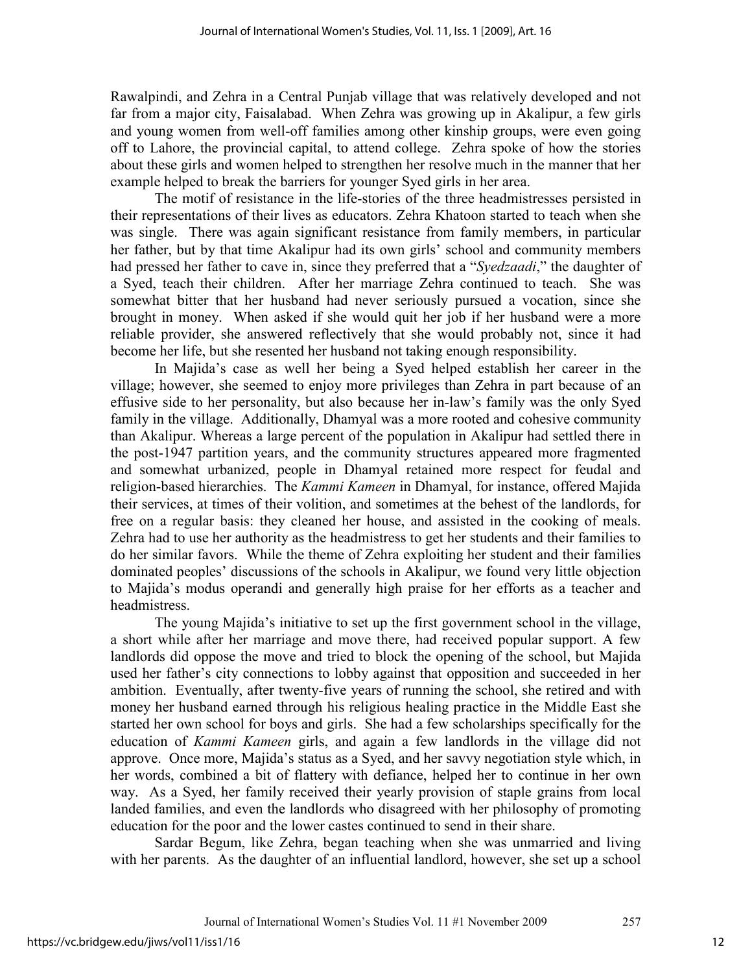Rawalpindi, and Zehra in a Central Punjab village that was relatively developed and not far from a major city, Faisalabad. When Zehra was growing up in Akalipur, a few girls and young women from well-off families among other kinship groups, were even going off to Lahore, the provincial capital, to attend college. Zehra spoke of how the stories about these girls and women helped to strengthen her resolve much in the manner that her example helped to break the barriers for younger Syed girls in her area.

The motif of resistance in the life-stories of the three headmistresses persisted in their representations of their lives as educators. Zehra Khatoon started to teach when she was single. There was again significant resistance from family members, in particular her father, but by that time Akalipur had its own girls' school and community members had pressed her father to cave in, since they preferred that a "*Syedzaadi*," the daughter of a Syed, teach their children. After her marriage Zehra continued to teach. She was somewhat bitter that her husband had never seriously pursued a vocation, since she brought in money. When asked if she would quit her job if her husband were a more reliable provider, she answered reflectively that she would probably not, since it had become her life, but she resented her husband not taking enough responsibility.

In Majida's case as well her being a Syed helped establish her career in the village; however, she seemed to enjoy more privileges than Zehra in part because of an effusive side to her personality, but also because her in-law's family was the only Syed family in the village. Additionally, Dhamyal was a more rooted and cohesive community than Akalipur. Whereas a large percent of the population in Akalipur had settled there in the post-1947 partition years, and the community structures appeared more fragmented and somewhat urbanized, people in Dhamyal retained more respect for feudal and religion-based hierarchies. The *Kammi Kameen* in Dhamyal, for instance, offered Majida their services, at times of their volition, and sometimes at the behest of the landlords, for free on a regular basis: they cleaned her house, and assisted in the cooking of meals. Zehra had to use her authority as the headmistress to get her students and their families to do her similar favors. While the theme of Zehra exploiting her student and their families dominated peoples' discussions of the schools in Akalipur, we found very little objection to Majida's modus operandi and generally high praise for her efforts as a teacher and headmistress.

The young Majida's initiative to set up the first government school in the village, a short while after her marriage and move there, had received popular support. A few landlords did oppose the move and tried to block the opening of the school, but Majida used her father's city connections to lobby against that opposition and succeeded in her ambition. Eventually, after twenty-five years of running the school, she retired and with money her husband earned through his religious healing practice in the Middle East she started her own school for boys and girls. She had a few scholarships specifically for the education of *Kammi Kameen* girls, and again a few landlords in the village did not approve. Once more, Majida's status as a Syed, and her savvy negotiation style which, in her words, combined a bit of flattery with defiance, helped her to continue in her own way. As a Syed, her family received their yearly provision of staple grains from local landed families, and even the landlords who disagreed with her philosophy of promoting education for the poor and the lower castes continued to send in their share.

 Sardar Begum, like Zehra, began teaching when she was unmarried and living with her parents. As the daughter of an influential landlord, however, she set up a school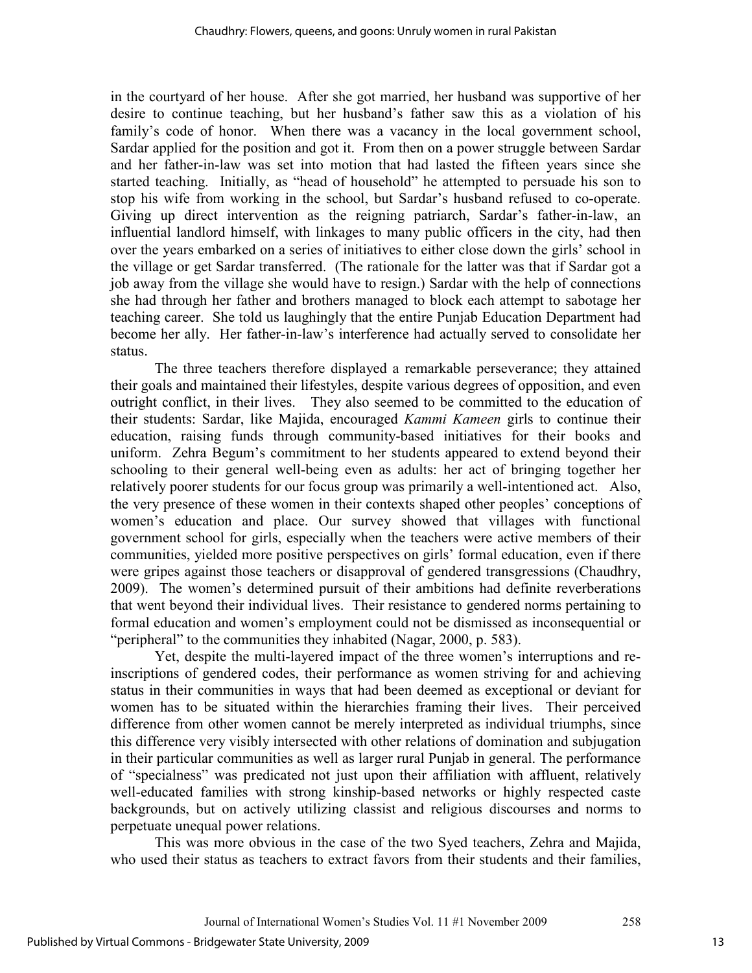in the courtyard of her house. After she got married, her husband was supportive of her desire to continue teaching, but her husband's father saw this as a violation of his family's code of honor. When there was a vacancy in the local government school, Sardar applied for the position and got it. From then on a power struggle between Sardar and her father-in-law was set into motion that had lasted the fifteen years since she started teaching. Initially, as "head of household" he attempted to persuade his son to stop his wife from working in the school, but Sardar's husband refused to co-operate. Giving up direct intervention as the reigning patriarch, Sardar's father-in-law, an influential landlord himself, with linkages to many public officers in the city, had then over the years embarked on a series of initiatives to either close down the girls' school in the village or get Sardar transferred. (The rationale for the latter was that if Sardar got a job away from the village she would have to resign.) Sardar with the help of connections she had through her father and brothers managed to block each attempt to sabotage her teaching career. She told us laughingly that the entire Punjab Education Department had become her ally. Her father-in-law's interference had actually served to consolidate her status.

 The three teachers therefore displayed a remarkable perseverance; they attained their goals and maintained their lifestyles, despite various degrees of opposition, and even outright conflict, in their lives. They also seemed to be committed to the education of their students: Sardar, like Majida, encouraged *Kammi Kameen* girls to continue their education, raising funds through community-based initiatives for their books and uniform. Zehra Begum's commitment to her students appeared to extend beyond their schooling to their general well-being even as adults: her act of bringing together her relatively poorer students for our focus group was primarily a well-intentioned act. Also, the very presence of these women in their contexts shaped other peoples' conceptions of women's education and place. Our survey showed that villages with functional government school for girls, especially when the teachers were active members of their communities, yielded more positive perspectives on girls' formal education, even if there were gripes against those teachers or disapproval of gendered transgressions (Chaudhry, 2009). The women's determined pursuit of their ambitions had definite reverberations that went beyond their individual lives. Their resistance to gendered norms pertaining to formal education and women's employment could not be dismissed as inconsequential or "peripheral" to the communities they inhabited (Nagar, 2000, p. 583).

 Yet, despite the multi-layered impact of the three women's interruptions and reinscriptions of gendered codes, their performance as women striving for and achieving status in their communities in ways that had been deemed as exceptional or deviant for women has to be situated within the hierarchies framing their lives. Their perceived difference from other women cannot be merely interpreted as individual triumphs, since this difference very visibly intersected with other relations of domination and subjugation in their particular communities as well as larger rural Punjab in general. The performance of "specialness" was predicated not just upon their affiliation with affluent, relatively well-educated families with strong kinship-based networks or highly respected caste backgrounds, but on actively utilizing classist and religious discourses and norms to perpetuate unequal power relations.

This was more obvious in the case of the two Syed teachers, Zehra and Majida, who used their status as teachers to extract favors from their students and their families,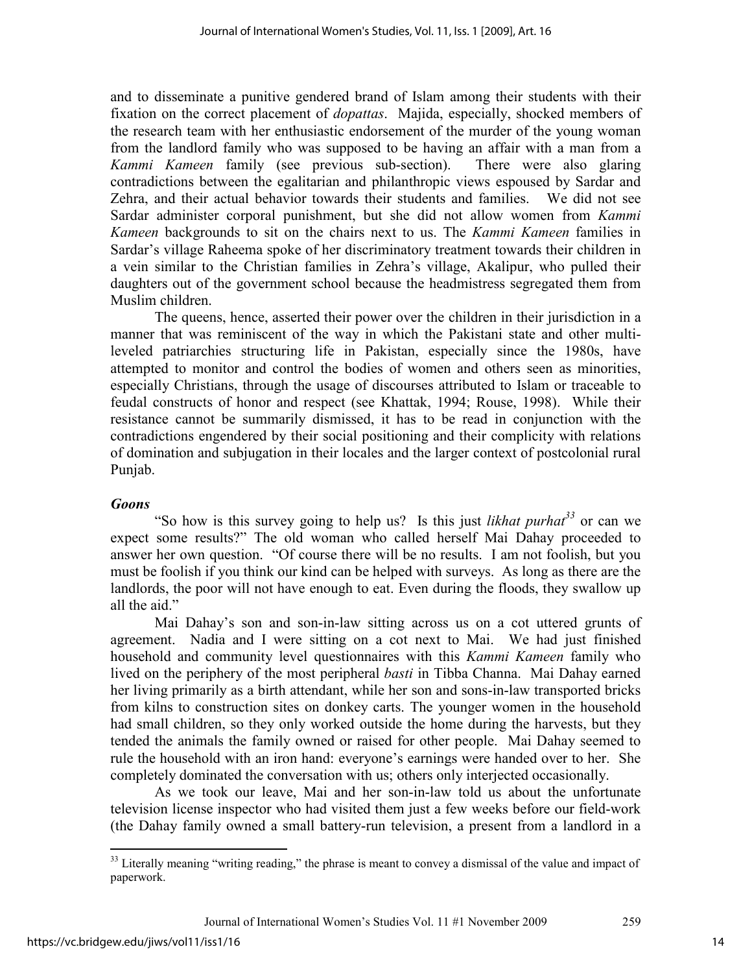and to disseminate a punitive gendered brand of Islam among their students with their fixation on the correct placement of *dopattas*. Majida, especially, shocked members of the research team with her enthusiastic endorsement of the murder of the young woman from the landlord family who was supposed to be having an affair with a man from a *Kammi Kameen* family (see previous sub-section). There were also glaring contradictions between the egalitarian and philanthropic views espoused by Sardar and Zehra, and their actual behavior towards their students and families. We did not see Sardar administer corporal punishment, but she did not allow women from *Kammi Kameen* backgrounds to sit on the chairs next to us. The *Kammi Kameen* families in Sardar's village Raheema spoke of her discriminatory treatment towards their children in a vein similar to the Christian families in Zehra's village, Akalipur, who pulled their daughters out of the government school because the headmistress segregated them from Muslim children.

The queens, hence, asserted their power over the children in their jurisdiction in a manner that was reminiscent of the way in which the Pakistani state and other multileveled patriarchies structuring life in Pakistan, especially since the 1980s, have attempted to monitor and control the bodies of women and others seen as minorities, especially Christians, through the usage of discourses attributed to Islam or traceable to feudal constructs of honor and respect (see Khattak, 1994; Rouse, 1998). While their resistance cannot be summarily dismissed, it has to be read in conjunction with the contradictions engendered by their social positioning and their complicity with relations of domination and subjugation in their locales and the larger context of postcolonial rural Punjab.

# *Goons*

"So how is this survey going to help us? Is this just *likhat purhat<sup>33</sup>* or can we expect some results?" The old woman who called herself Mai Dahay proceeded to answer her own question. "Of course there will be no results. I am not foolish, but you must be foolish if you think our kind can be helped with surveys. As long as there are the landlords, the poor will not have enough to eat. Even during the floods, they swallow up all the aid."

Mai Dahay's son and son-in-law sitting across us on a cot uttered grunts of agreement. Nadia and I were sitting on a cot next to Mai. We had just finished household and community level questionnaires with this *Kammi Kameen* family who lived on the periphery of the most peripheral *basti* in Tibba Channa. Mai Dahay earned her living primarily as a birth attendant, while her son and sons-in-law transported bricks from kilns to construction sites on donkey carts. The younger women in the household had small children, so they only worked outside the home during the harvests, but they tended the animals the family owned or raised for other people. Mai Dahay seemed to rule the household with an iron hand: everyone's earnings were handed over to her. She completely dominated the conversation with us; others only interjected occasionally.

As we took our leave, Mai and her son-in-law told us about the unfortunate television license inspector who had visited them just a few weeks before our field-work (the Dahay family owned a small battery-run television, a present from a landlord in a

 $\overline{a}$ <sup>33</sup> Literally meaning "writing reading," the phrase is meant to convey a dismissal of the value and impact of paperwork.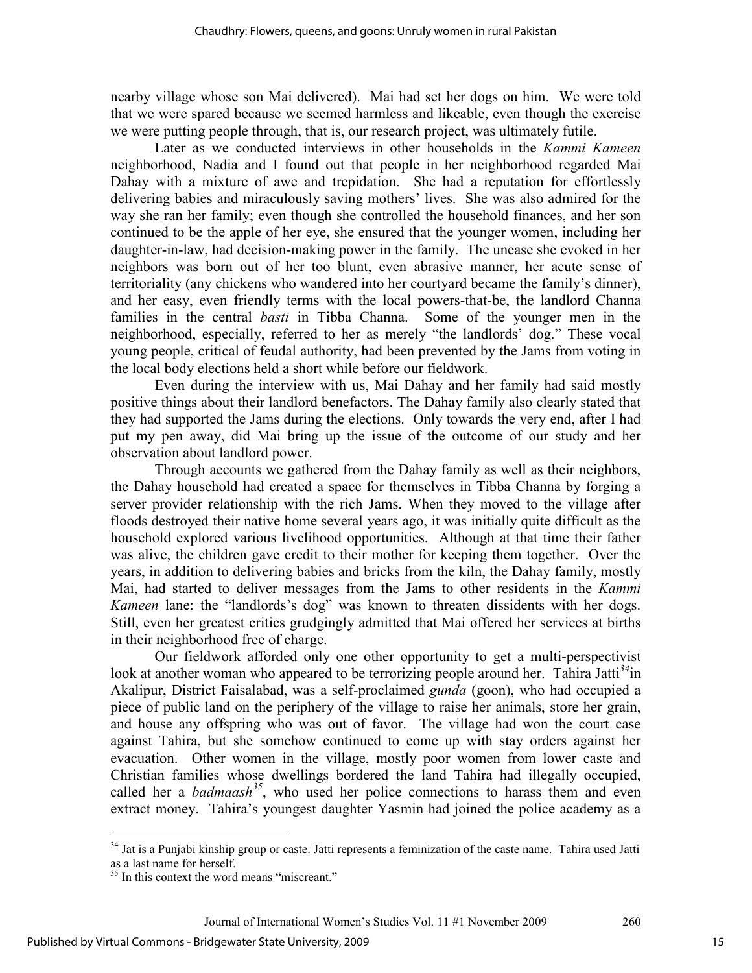nearby village whose son Mai delivered). Mai had set her dogs on him. We were told that we were spared because we seemed harmless and likeable, even though the exercise we were putting people through, that is, our research project, was ultimately futile.

Later as we conducted interviews in other households in the *Kammi Kameen*  neighborhood, Nadia and I found out that people in her neighborhood regarded Mai Dahay with a mixture of awe and trepidation. She had a reputation for effortlessly delivering babies and miraculously saving mothers' lives. She was also admired for the way she ran her family; even though she controlled the household finances, and her son continued to be the apple of her eye, she ensured that the younger women, including her daughter-in-law, had decision-making power in the family. The unease she evoked in her neighbors was born out of her too blunt, even abrasive manner, her acute sense of territoriality (any chickens who wandered into her courtyard became the family's dinner), and her easy, even friendly terms with the local powers-that-be, the landlord Channa families in the central *basti* in Tibba Channa. Some of the younger men in the neighborhood, especially, referred to her as merely "the landlords' dog." These vocal young people, critical of feudal authority, had been prevented by the Jams from voting in the local body elections held a short while before our fieldwork.

Even during the interview with us, Mai Dahay and her family had said mostly positive things about their landlord benefactors. The Dahay family also clearly stated that they had supported the Jams during the elections. Only towards the very end, after I had put my pen away, did Mai bring up the issue of the outcome of our study and her observation about landlord power.

Through accounts we gathered from the Dahay family as well as their neighbors, the Dahay household had created a space for themselves in Tibba Channa by forging a server provider relationship with the rich Jams. When they moved to the village after floods destroyed their native home several years ago, it was initially quite difficult as the household explored various livelihood opportunities. Although at that time their father was alive, the children gave credit to their mother for keeping them together. Over the years, in addition to delivering babies and bricks from the kiln, the Dahay family, mostly Mai, had started to deliver messages from the Jams to other residents in the *Kammi Kameen* lane: the "landlords's dog" was known to threaten dissidents with her dogs. Still, even her greatest critics grudgingly admitted that Mai offered her services at births in their neighborhood free of charge.

Our fieldwork afforded only one other opportunity to get a multi-perspectivist look at another woman who appeared to be terrorizing people around her. Tahira Jatti<sup>34</sup>in Akalipur, District Faisalabad, was a self-proclaimed *gunda* (goon), who had occupied a piece of public land on the periphery of the village to raise her animals, store her grain, and house any offspring who was out of favor. The village had won the court case against Tahira, but she somehow continued to come up with stay orders against her evacuation. Other women in the village, mostly poor women from lower caste and Christian families whose dwellings bordered the land Tahira had illegally occupied, called her a *badmaash*<sup>35</sup>, who used her police connections to harass them and even extract money. Tahira's youngest daughter Yasmin had joined the police academy as a

 $\overline{a}$ 

<sup>&</sup>lt;sup>34</sup> Jat is a Punjabi kinship group or caste. Jatti represents a feminization of the caste name. Tahira used Jatti as a last name for herself.

<sup>&</sup>lt;sup>35</sup> In this context the word means "miscreant."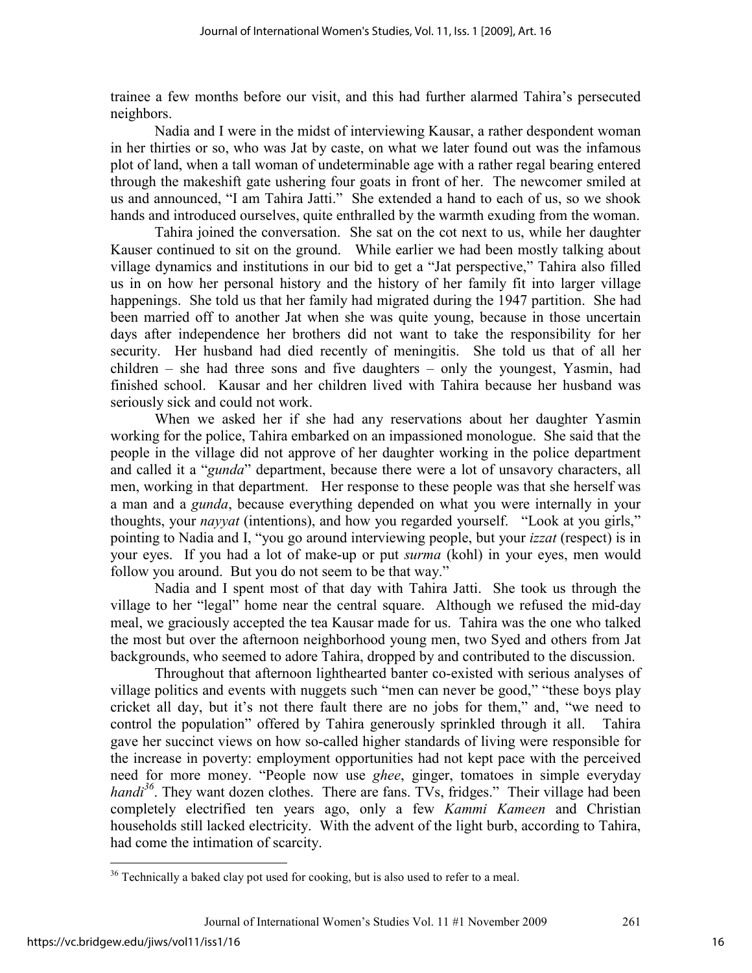trainee a few months before our visit, and this had further alarmed Tahira's persecuted neighbors.

Nadia and I were in the midst of interviewing Kausar, a rather despondent woman in her thirties or so, who was Jat by caste, on what we later found out was the infamous plot of land, when a tall woman of undeterminable age with a rather regal bearing entered through the makeshift gate ushering four goats in front of her. The newcomer smiled at us and announced, "I am Tahira Jatti." She extended a hand to each of us, so we shook hands and introduced ourselves, quite enthralled by the warmth exuding from the woman.

Tahira joined the conversation. She sat on the cot next to us, while her daughter Kauser continued to sit on the ground. While earlier we had been mostly talking about village dynamics and institutions in our bid to get a "Jat perspective," Tahira also filled us in on how her personal history and the history of her family fit into larger village happenings. She told us that her family had migrated during the 1947 partition. She had been married off to another Jat when she was quite young, because in those uncertain days after independence her brothers did not want to take the responsibility for her security. Her husband had died recently of meningitis. She told us that of all her children – she had three sons and five daughters – only the youngest, Yasmin, had finished school. Kausar and her children lived with Tahira because her husband was seriously sick and could not work.

When we asked her if she had any reservations about her daughter Yasmin working for the police, Tahira embarked on an impassioned monologue. She said that the people in the village did not approve of her daughter working in the police department and called it a "*gunda*" department, because there were a lot of unsavory characters, all men, working in that department. Her response to these people was that she herself was a man and a *gunda*, because everything depended on what you were internally in your thoughts, your *nayyat* (intentions), and how you regarded yourself. "Look at you girls," pointing to Nadia and I, "you go around interviewing people, but your *izzat* (respect) is in your eyes. If you had a lot of make-up or put *surma* (kohl) in your eyes, men would follow you around. But you do not seem to be that way."

Nadia and I spent most of that day with Tahira Jatti. She took us through the village to her "legal" home near the central square. Although we refused the mid-day meal, we graciously accepted the tea Kausar made for us. Tahira was the one who talked the most but over the afternoon neighborhood young men, two Syed and others from Jat backgrounds, who seemed to adore Tahira, dropped by and contributed to the discussion.

Throughout that afternoon lighthearted banter co-existed with serious analyses of village politics and events with nuggets such "men can never be good," "these boys play cricket all day, but it's not there fault there are no jobs for them," and, "we need to control the population" offered by Tahira generously sprinkled through it all. Tahira gave her succinct views on how so-called higher standards of living were responsible for the increase in poverty: employment opportunities had not kept pace with the perceived need for more money. "People now use *ghee*, ginger, tomatoes in simple everyday *handi*<sup>36</sup>. They want dozen clothes. There are fans. TVs, fridges." Their village had been completely electrified ten years ago, only a few *Kammi Kameen* and Christian households still lacked electricity. With the advent of the light burb, according to Tahira, had come the intimation of scarcity.

 $\overline{a}$ 

 $36$  Technically a baked clay pot used for cooking, but is also used to refer to a meal.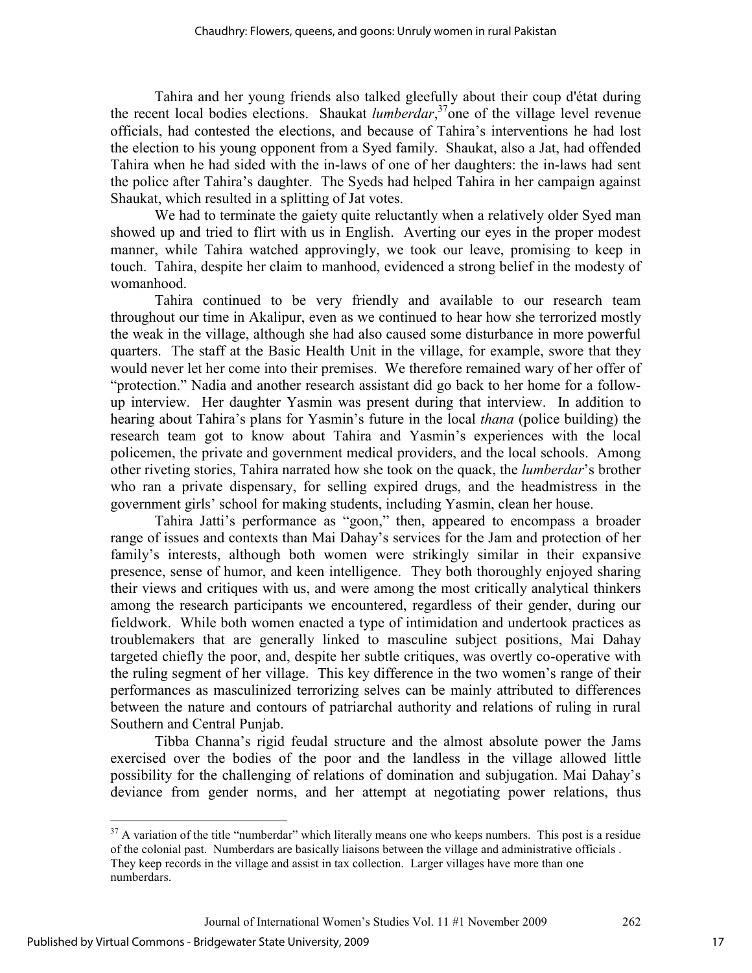Tahira and her young friends also talked gleefully about their coup d'état during the recent local bodies elections. Shaukat *lumberdar*, <sup>37</sup>one of the village level revenue officials, had contested the elections, and because of Tahira's interventions he had lost the election to his young opponent from a Syed family. Shaukat, also a Jat, had offended Tahira when he had sided with the in-laws of one of her daughters: the in-laws had sent the police after Tahira's daughter. The Syeds had helped Tahira in her campaign against Shaukat, which resulted in a splitting of Jat votes.

We had to terminate the gaiety quite reluctantly when a relatively older Syed man showed up and tried to flirt with us in English. Averting our eyes in the proper modest manner, while Tahira watched approvingly, we took our leave, promising to keep in touch. Tahira, despite her claim to manhood, evidenced a strong belief in the modesty of womanhood.

Tahira continued to be very friendly and available to our research team throughout our time in Akalipur, even as we continued to hear how she terrorized mostly the weak in the village, although she had also caused some disturbance in more powerful quarters. The staff at the Basic Health Unit in the village, for example, swore that they would never let her come into their premises. We therefore remained wary of her offer of "protection." Nadia and another research assistant did go back to her home for a followup interview. Her daughter Yasmin was present during that interview. In addition to hearing about Tahira's plans for Yasmin's future in the local *thana* (police building) the research team got to know about Tahira and Yasmin's experiences with the local policemen, the private and government medical providers, and the local schools. Among other riveting stories, Tahira narrated how she took on the quack, the *lumberdar*'s brother who ran a private dispensary, for selling expired drugs, and the headmistress in the government girls' school for making students, including Yasmin, clean her house.

Tahira Jatti's performance as "goon," then, appeared to encompass a broader range of issues and contexts than Mai Dahay's services for the Jam and protection of her family's interests, although both women were strikingly similar in their expansive presence, sense of humor, and keen intelligence. They both thoroughly enjoyed sharing their views and critiques with us, and were among the most critically analytical thinkers among the research participants we encountered, regardless of their gender, during our fieldwork. While both women enacted a type of intimidation and undertook practices as troublemakers that are generally linked to masculine subject positions, Mai Dahay targeted chiefly the poor, and, despite her subtle critiques, was overtly co-operative with the ruling segment of her village. This key difference in the two women's range of their performances as masculinized terrorizing selves can be mainly attributed to differences between the nature and contours of patriarchal authority and relations of ruling in rural Southern and Central Punjab.

 Tibba Channa's rigid feudal structure and the almost absolute power the Jams exercised over the bodies of the poor and the landless in the village allowed little possibility for the challenging of relations of domination and subjugation. Mai Dahay's deviance from gender norms, and her attempt at negotiating power relations, thus

-

17

 $37$  A variation of the title "numberdar" which literally means one who keeps numbers. This post is a residue of the colonial past. Numberdars are basically liaisons between the village and administrative officials . They keep records in the village and assist in tax collection. Larger villages have more than one numberdars.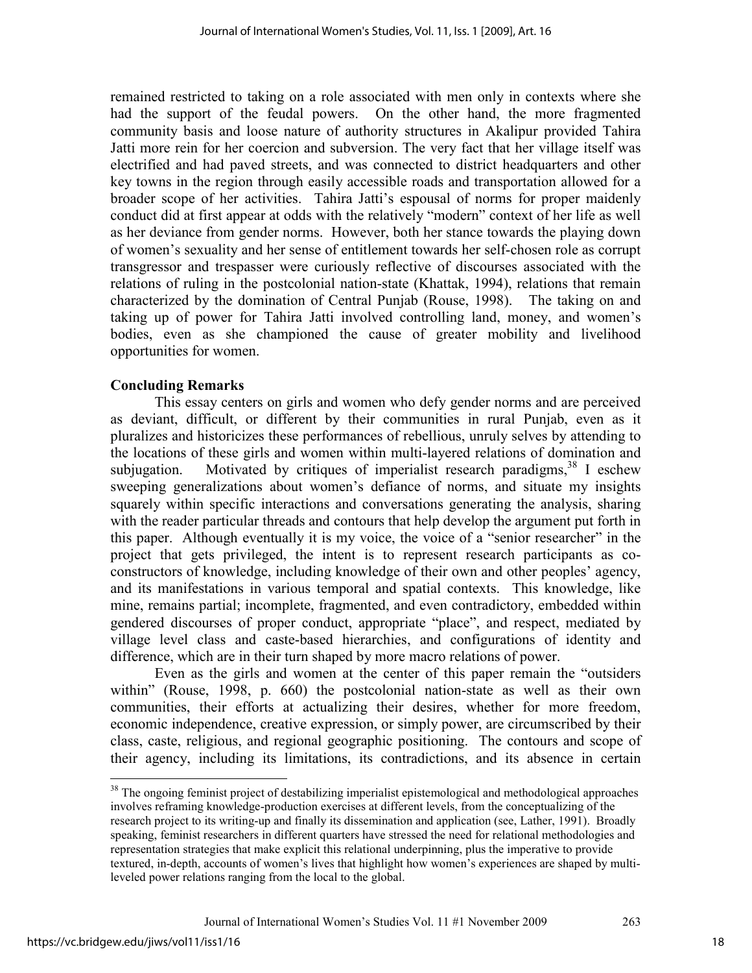remained restricted to taking on a role associated with men only in contexts where she had the support of the feudal powers. On the other hand, the more fragmented community basis and loose nature of authority structures in Akalipur provided Tahira Jatti more rein for her coercion and subversion. The very fact that her village itself was electrified and had paved streets, and was connected to district headquarters and other key towns in the region through easily accessible roads and transportation allowed for a broader scope of her activities. Tahira Jatti's espousal of norms for proper maidenly conduct did at first appear at odds with the relatively "modern" context of her life as well as her deviance from gender norms. However, both her stance towards the playing down of women's sexuality and her sense of entitlement towards her self-chosen role as corrupt transgressor and trespasser were curiously reflective of discourses associated with the relations of ruling in the postcolonial nation-state (Khattak, 1994), relations that remain characterized by the domination of Central Punjab (Rouse, 1998). The taking on and taking up of power for Tahira Jatti involved controlling land, money, and women's bodies, even as she championed the cause of greater mobility and livelihood opportunities for women.

### **Concluding Remarks**

This essay centers on girls and women who defy gender norms and are perceived as deviant, difficult, or different by their communities in rural Punjab, even as it pluralizes and historicizes these performances of rebellious, unruly selves by attending to the locations of these girls and women within multi-layered relations of domination and subjugation. Motivated by critiques of imperialist research paradigms,  $38$  I eschew sweeping generalizations about women's defiance of norms, and situate my insights squarely within specific interactions and conversations generating the analysis, sharing with the reader particular threads and contours that help develop the argument put forth in this paper. Although eventually it is my voice, the voice of a "senior researcher" in the project that gets privileged, the intent is to represent research participants as coconstructors of knowledge, including knowledge of their own and other peoples' agency, and its manifestations in various temporal and spatial contexts. This knowledge, like mine, remains partial; incomplete, fragmented, and even contradictory, embedded within gendered discourses of proper conduct, appropriate "place", and respect, mediated by village level class and caste-based hierarchies, and configurations of identity and difference, which are in their turn shaped by more macro relations of power.

Even as the girls and women at the center of this paper remain the "outsiders within" (Rouse, 1998, p. 660) the postcolonial nation-state as well as their own communities, their efforts at actualizing their desires, whether for more freedom, economic independence, creative expression, or simply power, are circumscribed by their class, caste, religious, and regional geographic positioning. The contours and scope of their agency, including its limitations, its contradictions, and its absence in certain

<u>.</u>

<sup>&</sup>lt;sup>38</sup> The ongoing feminist project of destabilizing imperialist epistemological and methodological approaches involves reframing knowledge-production exercises at different levels, from the conceptualizing of the research project to its writing-up and finally its dissemination and application (see, Lather, 1991). Broadly speaking, feminist researchers in different quarters have stressed the need for relational methodologies and representation strategies that make explicit this relational underpinning, plus the imperative to provide textured, in-depth, accounts of women's lives that highlight how women's experiences are shaped by multileveled power relations ranging from the local to the global.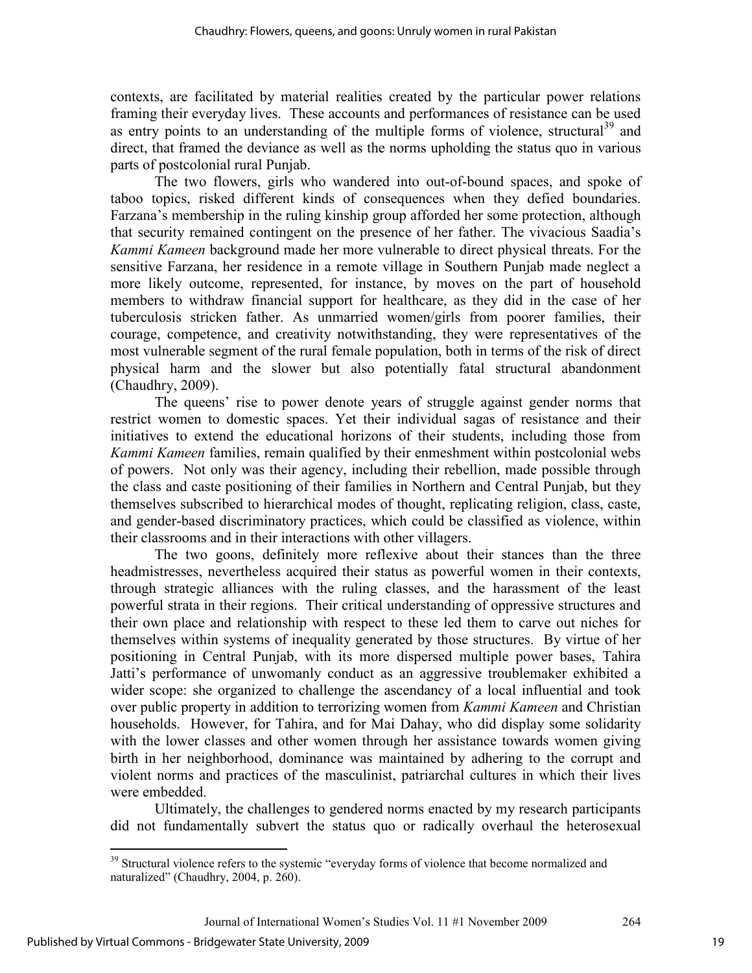contexts, are facilitated by material realities created by the particular power relations framing their everyday lives. These accounts and performances of resistance can be used as entry points to an understanding of the multiple forms of violence, structural<sup>39</sup> and direct, that framed the deviance as well as the norms upholding the status quo in various parts of postcolonial rural Punjab.

The two flowers, girls who wandered into out-of-bound spaces, and spoke of taboo topics, risked different kinds of consequences when they defied boundaries. Farzana's membership in the ruling kinship group afforded her some protection, although that security remained contingent on the presence of her father. The vivacious Saadia's *Kammi Kameen* background made her more vulnerable to direct physical threats. For the sensitive Farzana, her residence in a remote village in Southern Punjab made neglect a more likely outcome, represented, for instance, by moves on the part of household members to withdraw financial support for healthcare, as they did in the case of her tuberculosis stricken father. As unmarried women/girls from poorer families, their courage, competence, and creativity notwithstanding, they were representatives of the most vulnerable segment of the rural female population, both in terms of the risk of direct physical harm and the slower but also potentially fatal structural abandonment (Chaudhry, 2009).

The queens' rise to power denote years of struggle against gender norms that restrict women to domestic spaces. Yet their individual sagas of resistance and their initiatives to extend the educational horizons of their students, including those from *Kammi Kameen* families, remain qualified by their enmeshment within postcolonial webs of powers. Not only was their agency, including their rebellion, made possible through the class and caste positioning of their families in Northern and Central Punjab, but they themselves subscribed to hierarchical modes of thought, replicating religion, class, caste, and gender-based discriminatory practices, which could be classified as violence, within their classrooms and in their interactions with other villagers.

The two goons, definitely more reflexive about their stances than the three headmistresses, nevertheless acquired their status as powerful women in their contexts, through strategic alliances with the ruling classes, and the harassment of the least powerful strata in their regions. Their critical understanding of oppressive structures and their own place and relationship with respect to these led them to carve out niches for themselves within systems of inequality generated by those structures. By virtue of her positioning in Central Punjab, with its more dispersed multiple power bases, Tahira Jatti's performance of unwomanly conduct as an aggressive troublemaker exhibited a wider scope: she organized to challenge the ascendancy of a local influential and took over public property in addition to terrorizing women from *Kammi Kameen* and Christian households. However, for Tahira, and for Mai Dahay, who did display some solidarity with the lower classes and other women through her assistance towards women giving birth in her neighborhood, dominance was maintained by adhering to the corrupt and violent norms and practices of the masculinist, patriarchal cultures in which their lives were embedded.

Ultimately, the challenges to gendered norms enacted by my research participants did not fundamentally subvert the status quo or radically overhaul the heterosexual

-

<sup>&</sup>lt;sup>39</sup> Structural violence refers to the systemic "everyday forms of violence that become normalized and naturalized" (Chaudhry, 2004, p. 260).

Journal of International Women's Studies Vol. 11 #1 November 2009 264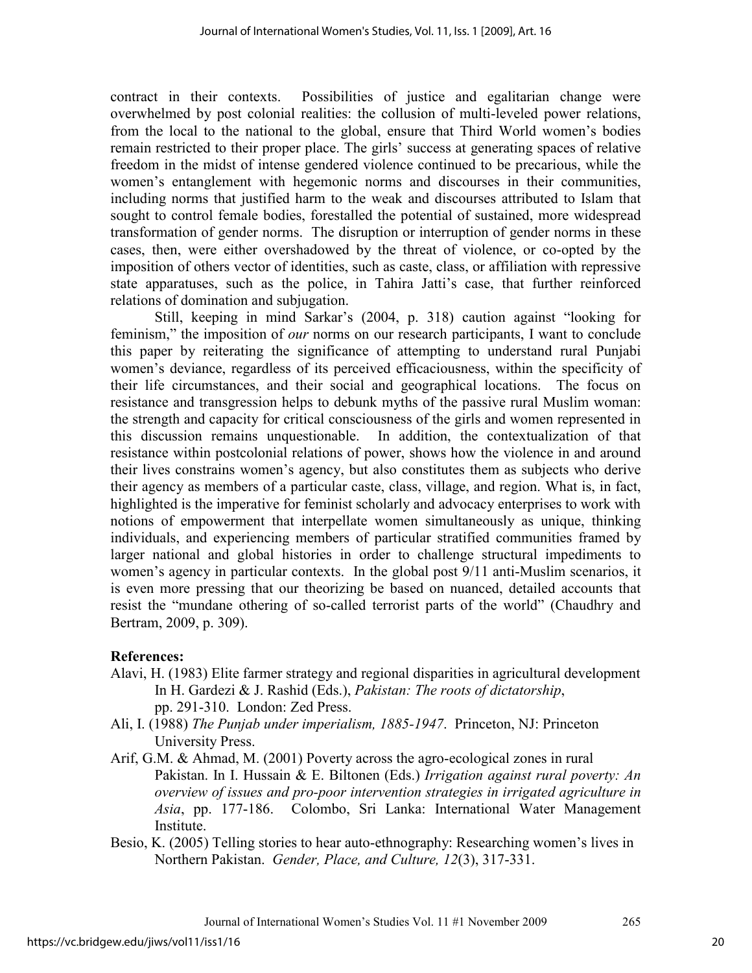contract in their contexts. Possibilities of justice and egalitarian change were overwhelmed by post colonial realities: the collusion of multi-leveled power relations, from the local to the national to the global, ensure that Third World women's bodies remain restricted to their proper place. The girls' success at generating spaces of relative freedom in the midst of intense gendered violence continued to be precarious, while the women's entanglement with hegemonic norms and discourses in their communities, including norms that justified harm to the weak and discourses attributed to Islam that sought to control female bodies, forestalled the potential of sustained, more widespread transformation of gender norms. The disruption or interruption of gender norms in these cases, then, were either overshadowed by the threat of violence, or co-opted by the imposition of others vector of identities, such as caste, class, or affiliation with repressive state apparatuses, such as the police, in Tahira Jatti's case, that further reinforced relations of domination and subjugation.

Still, keeping in mind Sarkar's (2004, p. 318) caution against "looking for feminism," the imposition of *our* norms on our research participants, I want to conclude this paper by reiterating the significance of attempting to understand rural Punjabi women's deviance, regardless of its perceived efficaciousness, within the specificity of their life circumstances, and their social and geographical locations. The focus on resistance and transgression helps to debunk myths of the passive rural Muslim woman: the strength and capacity for critical consciousness of the girls and women represented in this discussion remains unquestionable. In addition, the contextualization of that resistance within postcolonial relations of power, shows how the violence in and around their lives constrains women's agency, but also constitutes them as subjects who derive their agency as members of a particular caste, class, village, and region. What is, in fact, highlighted is the imperative for feminist scholarly and advocacy enterprises to work with notions of empowerment that interpellate women simultaneously as unique, thinking individuals, and experiencing members of particular stratified communities framed by larger national and global histories in order to challenge structural impediments to women's agency in particular contexts. In the global post 9/11 anti-Muslim scenarios, it is even more pressing that our theorizing be based on nuanced, detailed accounts that resist the "mundane othering of so-called terrorist parts of the world" (Chaudhry and Bertram, 2009, p. 309).

# **References:**

- Alavi, H. (1983) Elite farmer strategy and regional disparities in agricultural development In H. Gardezi & J. Rashid (Eds.), *Pakistan: The roots of dictatorship*, pp. 291-310. London: Zed Press.
- Ali, I. (1988) *The Punjab under imperialism, 1885-1947*. Princeton, NJ: Princeton University Press.
- Arif, G.M. & Ahmad, M. (2001) Poverty across the agro-ecological zones in rural Pakistan. In I. Hussain & E. Biltonen (Eds.) *Irrigation against rural poverty: An overview of issues and pro-poor intervention strategies in irrigated agriculture in Asia*, pp. 177-186. Colombo, Sri Lanka: International Water Management Institute.
- Besio, K. (2005) Telling stories to hear auto-ethnography: Researching women's lives in Northern Pakistan. *Gender, Place, and Culture, 12*(3), 317-331.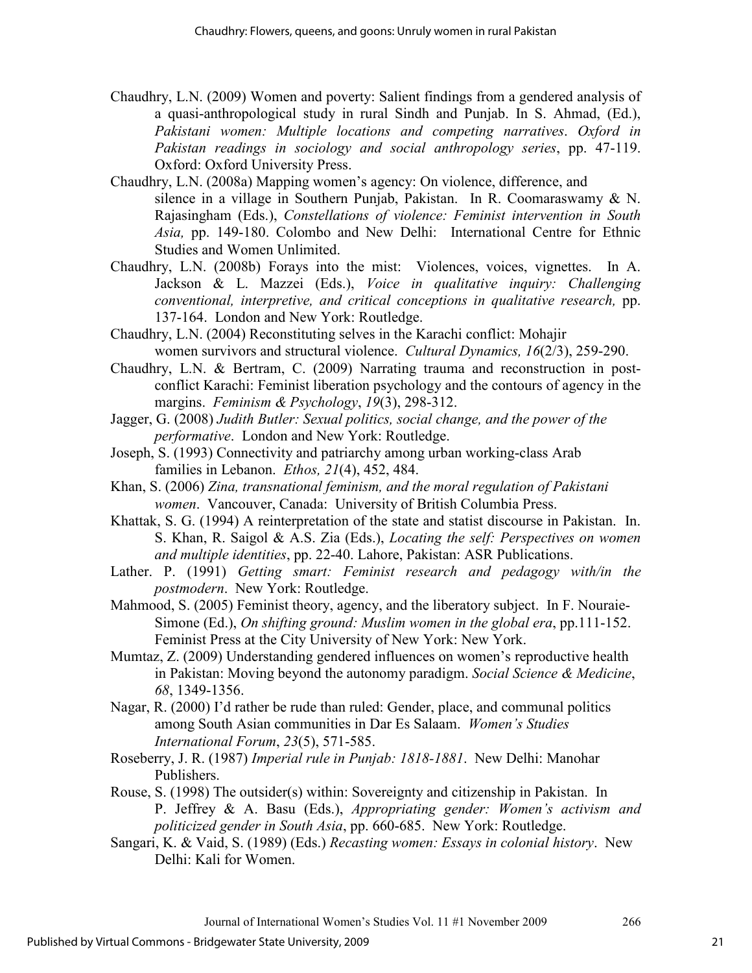- Chaudhry, L.N. (2009) Women and poverty: Salient findings from a gendered analysis of a quasi-anthropological study in rural Sindh and Punjab. In S. Ahmad, (Ed.), *Pakistani women: Multiple locations and competing narratives*. *Oxford in Pakistan readings in sociology and social anthropology series*, pp. 47-119. Oxford: Oxford University Press.
- Chaudhry, L.N. (2008a) Mapping women's agency: On violence, difference, and silence in a village in Southern Punjab, Pakistan. In R. Coomaraswamy & N. Rajasingham (Eds.), *Constellations of violence: Feminist intervention in South Asia,* pp. 149-180. Colombo and New Delhi: International Centre for Ethnic Studies and Women Unlimited.
- Chaudhry, L.N. (2008b) Forays into the mist: Violences, voices, vignettes. In A. Jackson & L. Mazzei (Eds.), *Voice in qualitative inquiry: Challenging conventional, interpretive, and critical conceptions in qualitative research,* pp. 137-164. London and New York: Routledge.
- Chaudhry, L.N. (2004) Reconstituting selves in the Karachi conflict: Mohajir women survivors and structural violence. *Cultural Dynamics, 16*(2/3), 259-290.
- Chaudhry, L.N. & Bertram, C. (2009) Narrating trauma and reconstruction in postconflict Karachi: Feminist liberation psychology and the contours of agency in the margins. *Feminism & Psychology*, *19*(3), 298-312.
- Jagger, G. (2008) *Judith Butler: Sexual politics, social change, and the power of the performative*. London and New York: Routledge.
- Joseph, S. (1993) Connectivity and patriarchy among urban working-class Arab families in Lebanon. *Ethos, 21*(4), 452, 484.
- Khan, S. (2006) *Zina, transnational feminism, and the moral regulation of Pakistani women*. Vancouver, Canada: University of British Columbia Press.
- Khattak, S. G. (1994) A reinterpretation of the state and statist discourse in Pakistan. In. S. Khan, R. Saigol & A.S. Zia (Eds.), *Locating the self: Perspectives on women and multiple identities*, pp. 22-40. Lahore, Pakistan: ASR Publications.
- Lather. P. (1991) *Getting smart: Feminist research and pedagogy with/in the postmodern*. New York: Routledge.
- Mahmood, S. (2005) Feminist theory, agency, and the liberatory subject. In F. Nouraie-Simone (Ed.), *On shifting ground: Muslim women in the global era*, pp.111-152. Feminist Press at the City University of New York: New York.
- Mumtaz, Z. (2009) Understanding gendered influences on women's reproductive health in Pakistan: Moving beyond the autonomy paradigm. *Social Science & Medicine*, *68*, 1349-1356.
- Nagar, R. (2000) I'd rather be rude than ruled: Gender, place, and communal politics among South Asian communities in Dar Es Salaam. *Women's Studies International Forum*, *23*(5), 571-585.
- Roseberry, J. R. (1987) *Imperial rule in Punjab: 1818-1881*. New Delhi: Manohar Publishers.
- Rouse, S. (1998) The outsider(s) within: Sovereignty and citizenship in Pakistan. In P. Jeffrey & A. Basu (Eds.), *Appropriating gender: Women's activism and politicized gender in South Asia*, pp. 660-685. New York: Routledge.
- Sangari, K. & Vaid, S. (1989) (Eds.) *Recasting women: Essays in colonial history*. New Delhi: Kali for Women.